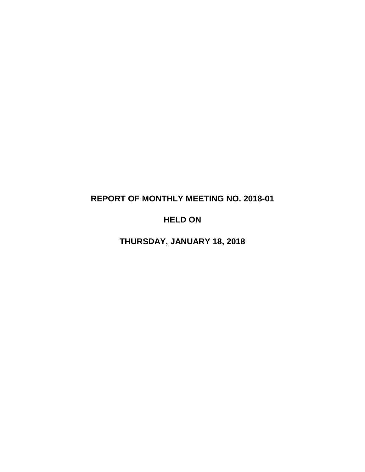# **REPORT OF MONTHLY MEETING NO. 2018-01**

# **HELD ON**

**THURSDAY, JANUARY 18, 2018**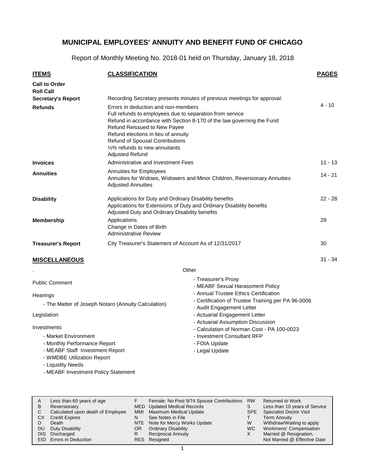Report of Monthly Meeting No. 2018-01 held on Thursday, January 18, 2018

| <b>ITEMS</b>                                                    | <b>CLASSIFICATION</b>                                                                                                                                                                                                                                                                                                                                                                                                     |                                                                                 | <b>PAGES</b> |  |  |
|-----------------------------------------------------------------|---------------------------------------------------------------------------------------------------------------------------------------------------------------------------------------------------------------------------------------------------------------------------------------------------------------------------------------------------------------------------------------------------------------------------|---------------------------------------------------------------------------------|--------------|--|--|
| <b>Call to Order</b><br><b>Roll Call</b>                        |                                                                                                                                                                                                                                                                                                                                                                                                                           |                                                                                 |              |  |  |
| <b>Secretary's Report</b>                                       |                                                                                                                                                                                                                                                                                                                                                                                                                           |                                                                                 |              |  |  |
| <b>Refunds</b>                                                  | Recording Secretary presents minutes of previous meetings for approval.<br>Errors in deduction and non-members<br>Full refunds to employees due to separation from service<br>Refund in accordance with Section 8-170 of the law governing the Fund<br>Refund Reissued to New Payee<br>Refund elections in lieu of annuity<br>Refund of Spousal Contributions<br>1/2% refunds to new annuitants<br><b>Adjusted Refund</b> |                                                                                 |              |  |  |
| <b>Invoices</b>                                                 | Administrative and Investment Fees                                                                                                                                                                                                                                                                                                                                                                                        |                                                                                 | $11 - 13$    |  |  |
| <b>Annuities</b>                                                | Annuities for Employees<br>Annuities for Widows, Widowers and Minor Children, Reversionary Annuities<br><b>Adjusted Annuities</b>                                                                                                                                                                                                                                                                                         |                                                                                 |              |  |  |
| <b>Disability</b>                                               | Applications for Duty and Ordinary Disability benefits<br>Applications for Extensions of Duty and Ordinary Disability benefits<br>Adjusted Duty and Ordinary Disability benefits                                                                                                                                                                                                                                          |                                                                                 |              |  |  |
| <b>Membership</b>                                               | Applications<br>Change in Dates of Birth<br><b>Administrative Review</b>                                                                                                                                                                                                                                                                                                                                                  |                                                                                 |              |  |  |
| <b>Treasurer's Report</b>                                       | City Treasurer's Statement of Account As of 12/31/2017                                                                                                                                                                                                                                                                                                                                                                    |                                                                                 | 30           |  |  |
| <b>MISCELLANEOUS</b>                                            |                                                                                                                                                                                                                                                                                                                                                                                                                           |                                                                                 | $31 - 34$    |  |  |
|                                                                 |                                                                                                                                                                                                                                                                                                                                                                                                                           | Other                                                                           |              |  |  |
| <b>Public Comment</b>                                           |                                                                                                                                                                                                                                                                                                                                                                                                                           | - Treasurer's Proxy<br>- MEABF Sexual Harassment Policy                         |              |  |  |
| Hearings                                                        |                                                                                                                                                                                                                                                                                                                                                                                                                           | - Annual Trustee Ethics Certification                                           |              |  |  |
|                                                                 | - The Matter of Joseph Notaro (Annuity Calculation)                                                                                                                                                                                                                                                                                                                                                                       | - Certification of Trustee Training per PA 96-0006<br>- Audit Engagement Letter |              |  |  |
| Legislation                                                     |                                                                                                                                                                                                                                                                                                                                                                                                                           | - Actuarial Engagement Letter                                                   |              |  |  |
|                                                                 |                                                                                                                                                                                                                                                                                                                                                                                                                           | - Actuarial Assumption Discussion                                               |              |  |  |
| Investments                                                     |                                                                                                                                                                                                                                                                                                                                                                                                                           | - Calculation of Norman Cost - PA 100-0023                                      |              |  |  |
| - Market Environment                                            |                                                                                                                                                                                                                                                                                                                                                                                                                           | - Investment Consultant RFP                                                     |              |  |  |
| - Monthly Performance Report<br>- MEABF Staff Investment Report |                                                                                                                                                                                                                                                                                                                                                                                                                           | - FOIA Update<br>- Legal Update                                                 |              |  |  |
|                                                                 | - WMDBE Utilization Report                                                                                                                                                                                                                                                                                                                                                                                                |                                                                                 |              |  |  |

- Liquidity Needs
- MEABF Investment Policy Statement
- Less than 60 years of age **Reversionary** Calculated upon death of Employee CX Credit Expires Death Duty Disability Discharged EID Errors in Deduction Returned to Work Less than 10 years of Service Specialist Doctor Visit Term Annuity Withdraw/Waiting to apply Workmens' Compensation Married @ Resignation, Not Married @ Effective Date A B C D DU DIS Female: No Post 9/74 Spouse Contributions RW S SPE T W WC X MED Updated Medical Records Maximum Medical Update See Notes in File NTE Note for Mercy Works Update Ordinary Disability Reciprocal Annuity Resigned RESF MMI N OR R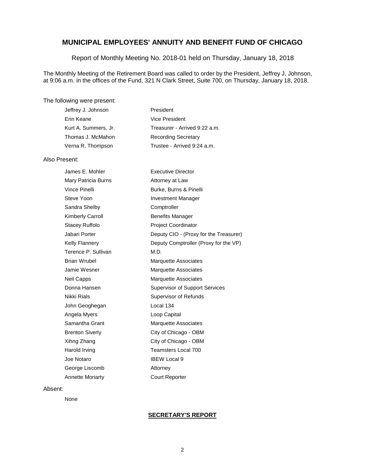Report of Monthly Meeting No. 2018-01 held on Thursday, January 18, 2018

The Monthly Meeting of the Retirement Board was called to order by the President, Jeffrey J. Johnson, at 9:06 a.m. in the offices of the Fund, 321 N Clark Street, Suite 700, on Thursday, January 18, 2018.

#### The following were present:

| President                     |
|-------------------------------|
| Vice President                |
| Treasurer - Arrived 9:22 a.m. |
| <b>Recording Secretary</b>    |
| Trustee - Arrived 9:24 a.m.   |
|                               |

#### Also Present:

| James E. Mohler        | <b>Executive Director</b>              |
|------------------------|----------------------------------------|
| Mary Patricia Burns    | Attorney at Law                        |
| Vince Pinelli          | Burke, Burns & Pinelli                 |
| Steve Yoon             | <b>Investment Manager</b>              |
| Sandra Shelby          | Comptroller                            |
| Kimberly Carroll       | <b>Benefits Manager</b>                |
| Stacey Ruffolo         | <b>Project Coordinator</b>             |
| Jabari Porter          | Deputy CIO - (Proxy for the Treasurer) |
| Kelly Flannery         | Deputy Comptroller (Proxy for the VP)  |
| Terence P. Sullivan    | M.D.                                   |
| Brian Wrubel           | <b>Marquette Associates</b>            |
| Jamie Wesner           | Marquette Associates                   |
| Neil Capps             | <b>Marquette Associates</b>            |
| Donna Hansen           | <b>Supervisor of Support Services</b>  |
| Nikki Rials            | Supervisor of Refunds                  |
| John Geoghegan         | Local 134                              |
| Angela Myers           | Loop Capital                           |
| Samantha Grant         | <b>Marquette Associates</b>            |
| <b>Brenton Siverly</b> | City of Chicago - OBM                  |
| Xihng Zhang            | City of Chicago - OBM                  |
| Harold Irving          | Teamsters Local 700                    |
| Joe Notaro             | <b>IBEW Local 9</b>                    |
| George Liscomb         | Attorney                               |
| Annette Moriarty       | <b>Court Reporter</b>                  |

#### Absent:

None

#### **SECRETARY'S REPORT**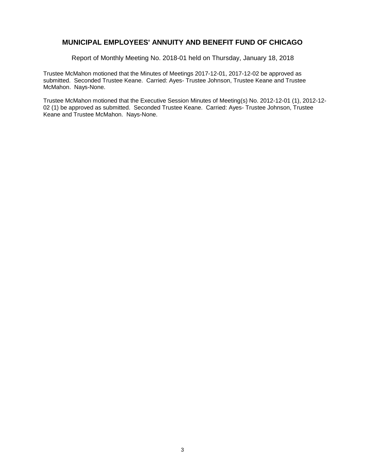Report of Monthly Meeting No. 2018-01 held on Thursday, January 18, 2018

Trustee McMahon motioned that the Minutes of Meetings 2017-12-01, 2017-12-02 be approved as submitted. Seconded Trustee Keane. Carried: Ayes- Trustee Johnson, Trustee Keane and Trustee McMahon. Nays-None.

Trustee McMahon motioned that the Executive Session Minutes of Meeting(s) No. 2012-12-01 (1), 2012-12- 02 (1) be approved as submitted. Seconded Trustee Keane. Carried: Ayes- Trustee Johnson, Trustee Keane and Trustee McMahon. Nays-None.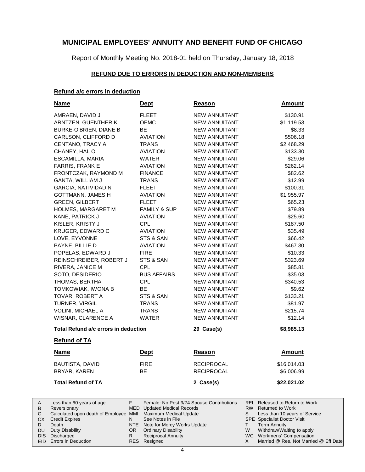Report of Monthly Meeting No. 2018-01 held on Thursday, January 18, 2018

#### **REFUND DUE TO ERRORS IN DEDUCTION AND NON-MEMBERS**

#### **Refund a/c errors in deduction**

| <b>Name</b>                                                                                                          | <u>Dept</u>                                                                                                                           | <u>Reason</u>                             | <b>Amount</b>                                                                                                                                                                  |
|----------------------------------------------------------------------------------------------------------------------|---------------------------------------------------------------------------------------------------------------------------------------|-------------------------------------------|--------------------------------------------------------------------------------------------------------------------------------------------------------------------------------|
| AMRAEN, DAVID J                                                                                                      | <b>FLEET</b>                                                                                                                          | <b>NEW ANNUITANT</b>                      | \$130.91                                                                                                                                                                       |
| ARNTZEN, GUENTHER K                                                                                                  | <b>OEMC</b>                                                                                                                           | <b>NEW ANNUITANT</b>                      | \$1,119.53                                                                                                                                                                     |
| BURKE-O'BRIEN, DIANE B                                                                                               | <b>BE</b>                                                                                                                             | NEW ANNUITANT                             | \$8.33                                                                                                                                                                         |
| CARLSON, CLIFFORD D                                                                                                  | <b>AVIATION</b>                                                                                                                       | <b>NEW ANNUITANT</b>                      | \$506.18                                                                                                                                                                       |
| CENTANO, TRACY A                                                                                                     | <b>TRANS</b>                                                                                                                          | <b>NEW ANNUITANT</b>                      | \$2,468.29                                                                                                                                                                     |
| CHANEY, HAL O                                                                                                        | <b>AVIATION</b>                                                                                                                       | NEW ANNUITANT                             | \$133.30                                                                                                                                                                       |
| ESCAMILLA, MARIA                                                                                                     | <b>WATER</b>                                                                                                                          | <b>NEW ANNUITANT</b>                      | \$29.06                                                                                                                                                                        |
| <b>FARRIS, FRANK E</b>                                                                                               | <b>AVIATION</b>                                                                                                                       | <b>NEW ANNUITANT</b>                      | \$262.14                                                                                                                                                                       |
| FRONTCZAK, RAYMOND M                                                                                                 | <b>FINANCE</b>                                                                                                                        | NEW ANNUITANT                             | \$82.62                                                                                                                                                                        |
| <b>GANTA, WILLIAM J</b>                                                                                              | <b>TRANS</b>                                                                                                                          | NEW ANNUITANT                             | \$12.99                                                                                                                                                                        |
| <b>GARCIA, NATIVIDAD N</b>                                                                                           | <b>FLEET</b>                                                                                                                          | NEW ANNUITANT                             | \$100.31                                                                                                                                                                       |
| <b>GOTTMANN, JAMES H</b>                                                                                             | <b>AVIATION</b>                                                                                                                       | NEW ANNUITANT                             | \$1,955.97                                                                                                                                                                     |
| <b>GREEN, GILBERT</b>                                                                                                | <b>FLEET</b>                                                                                                                          | NEW ANNUITANT                             | \$65.23                                                                                                                                                                        |
| <b>HOLMES, MARGARET M</b>                                                                                            | <b>FAMILY &amp; SUP</b>                                                                                                               | NEW ANNUITANT                             | \$79.89                                                                                                                                                                        |
| KANE, PATRICK J                                                                                                      | <b>AVIATION</b>                                                                                                                       | <b>NEW ANNUITANT</b>                      | \$25.60                                                                                                                                                                        |
| KISLER, KRISTY J                                                                                                     | <b>CPL</b>                                                                                                                            | <b>NEW ANNUITANT</b>                      | \$187.50                                                                                                                                                                       |
| KRUGER, EDWARD C                                                                                                     | <b>AVIATION</b>                                                                                                                       | <b>NEW ANNUITANT</b>                      | \$35.49                                                                                                                                                                        |
| LOVE, EYVONNE                                                                                                        | STS & SAN                                                                                                                             | <b>NEW ANNUITANT</b>                      | \$66.42                                                                                                                                                                        |
| PAYNE, BILLIE D                                                                                                      | <b>AVIATION</b>                                                                                                                       | NEW ANNUITANT                             | \$467.30                                                                                                                                                                       |
| POPELAS, EDWARD J                                                                                                    | <b>FIRE</b>                                                                                                                           | NEW ANNUITANT                             | \$10.33                                                                                                                                                                        |
| REINSCHREIBER, ROBERT J                                                                                              | STS & SAN                                                                                                                             | NEW ANNUITANT                             | \$323.69                                                                                                                                                                       |
| RIVERA, JANICE M                                                                                                     | <b>CPL</b>                                                                                                                            | <b>NEW ANNUITANT</b>                      | \$85.81                                                                                                                                                                        |
| SOTO, DESIDERIO                                                                                                      | <b>BUS AFFAIRS</b>                                                                                                                    | NEW ANNUITANT                             | \$35.03                                                                                                                                                                        |
| THOMAS, BERTHA                                                                                                       | <b>CPL</b>                                                                                                                            | NEW ANNUITANT                             | \$340.53                                                                                                                                                                       |
| TOMKOWIAK, IWONA B                                                                                                   | <b>BE</b>                                                                                                                             | NEW ANNUITANT                             | \$9.62                                                                                                                                                                         |
| TOVAR, ROBERT A                                                                                                      | STS & SAN                                                                                                                             | <b>NEW ANNUITANT</b>                      | \$133.21                                                                                                                                                                       |
| <b>TURNER, VIRGIL</b>                                                                                                | <b>TRANS</b>                                                                                                                          | <b>NEW ANNUITANT</b>                      | \$81.97                                                                                                                                                                        |
| <b>VOLINI, MICHAEL A</b>                                                                                             | <b>TRANS</b>                                                                                                                          | NEW ANNUITANT                             | \$215.74                                                                                                                                                                       |
| WISNAR, CLARENCE A                                                                                                   | WATER                                                                                                                                 | NEW ANNUITANT                             | \$12.14                                                                                                                                                                        |
| Total Refund a/c errors in deduction                                                                                 |                                                                                                                                       | 29 Case(s)                                | \$8,985.13                                                                                                                                                                     |
|                                                                                                                      |                                                                                                                                       |                                           |                                                                                                                                                                                |
| <b>Refund of TA</b>                                                                                                  |                                                                                                                                       |                                           |                                                                                                                                                                                |
| <b>Name</b>                                                                                                          | <b>Dept</b>                                                                                                                           | Reason                                    | <b>Amount</b>                                                                                                                                                                  |
| <b>BAUTISTA, DAVID</b>                                                                                               | <b>FIRE</b>                                                                                                                           | <b>RECIPROCAL</b>                         | \$16,014.03                                                                                                                                                                    |
| BRYAR, KAREN                                                                                                         | BЕ                                                                                                                                    | <b>RECIPROCAL</b>                         | \$6,006.99                                                                                                                                                                     |
| <b>Total Refund of TA</b>                                                                                            |                                                                                                                                       | 2 Case(s)                                 | \$22,021.02                                                                                                                                                                    |
| Less than 60 years of age<br>Reversionary<br>Calculated upon death of Employee MMI<br><b>Credit Expires</b><br>Death | F.<br>MED<br><b>Updated Medical Records</b><br>Maximum Medical Update<br>See Notes in File<br>N<br>NTE<br>Note for Mercy Works Update | Female: No Post 9/74 Spouse Contributions | <b>REL</b> Released to Return to Work<br>RW<br><b>Returned to Work</b><br>S<br>Less than 10 years of Service<br><b>SPE</b> Specialist Doctor Visit<br>т<br><b>Term Annuity</b> |

- Note for Mercy Works Update NTE OR
	- Ordinary Disability Reciprocal Annuity

R

DIS Discharged EID Errors in Deduction

Duty Disability

A B  $\mathbf C$ CX D DU

Resigned RES

- WC Workmens' Compensation
- Married @ Res, Not Married @ Eff Date X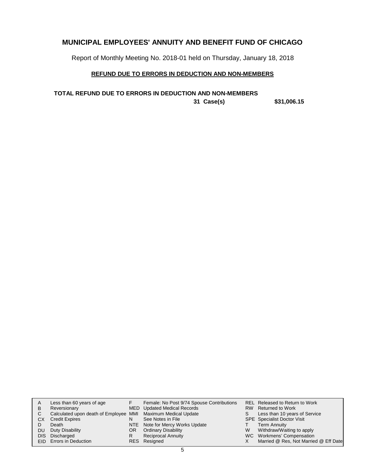Report of Monthly Meeting No. 2018-01 held on Thursday, January 18, 2018

## **REFUND DUE TO ERRORS IN DEDUCTION AND NON-MEMBERS**

**31 Case(s) \$31,006.15 TOTAL REFUND DUE TO ERRORS IN DEDUCTION AND NON-MEMBERS**

| A   | Less than 60 years of age                                    |     | Female: No Post 9/74 Spouse Contributions |   | REL Released to Return to Work        |
|-----|--------------------------------------------------------------|-----|-------------------------------------------|---|---------------------------------------|
| B   | Reversionary                                                 |     | MED Updated Medical Records               |   | RW Returned to Work                   |
| C   | Calculated upon death of Employee MMI Maximum Medical Update |     |                                           | S | Less than 10 years of Service         |
| СX  | <b>Credit Expires</b>                                        | N   | See Notes in File                         |   | <b>SPE</b> Specialist Doctor Visit    |
|     | Death                                                        |     | NTE Note for Mercy Works Update           |   | <b>Term Annuity</b>                   |
| DU. | Duty Disability                                              | OR. | <b>Ordinary Disability</b>                | W | Withdraw/Waiting to apply             |
|     | DIS Discharged                                               | R   | Reciprocal Annuity                        |   | WC Workmens' Compensation             |
|     | EID Errors in Deduction                                      |     | RES Resigned                              |   | Married @ Res, Not Married @ Eff Date |
|     |                                                              |     |                                           |   |                                       |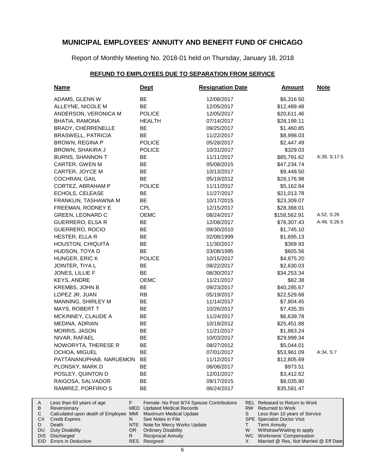Report of Monthly Meeting No. 2018-01 held on Thursday, January 18, 2018

#### **REFUND TO EMPLOYEES DUE TO SEPARATION FROM SERVICE**

| <u>Name</u>                                           | <u>Dept</u>                                                     | <b>Resignation Date</b>                   | <b>Amount</b>                                                        | <b>Note</b>  |
|-------------------------------------------------------|-----------------------------------------------------------------|-------------------------------------------|----------------------------------------------------------------------|--------------|
| ADAMS, GLENN W                                        | BE                                                              | 12/08/2017                                | \$6,316.50                                                           |              |
| ALLEYNE, NICOLE M                                     | <b>BE</b>                                                       | 12/05/2017                                | \$12,489.48                                                          |              |
| ANDERSON, VERONICA M                                  | <b>POLICE</b>                                                   | 12/05/2017                                | \$20,611.46                                                          |              |
| BHATIA, RAMONA                                        | <b>HEALTH</b>                                                   | 07/14/2017                                | \$28,199.11                                                          |              |
| <b>BRADY, CHERRENELLE</b>                             | BE                                                              | 09/25/2017                                | \$1,460.85                                                           |              |
| <b>BRASWELL, PATRICIA</b>                             | BE                                                              | 11/22/2017                                | \$8,998.03                                                           |              |
| <b>BROWN, REGINA P</b>                                | <b>POLICE</b>                                                   | 05/28/2017                                | \$2,447.49                                                           |              |
| BROWN, SHAKIRA J                                      | <b>POLICE</b>                                                   | 10/31/2017                                | \$329.03                                                             |              |
| <b>BURNS, SHANNON T</b>                               | BE                                                              | 11/11/2017                                | \$85,791.62                                                          | A:39, S:17.5 |
| CARTER, GWEN M                                        | BE                                                              | 05/08/2015                                | \$47,234.74                                                          |              |
| CARTER, JOYCE M                                       | BE                                                              | 10/13/2017                                | \$9,448.50                                                           |              |
| COCHRAN, GAIL                                         | <b>BE</b>                                                       | 05/19/2012                                | \$28,176.98                                                          |              |
| CORTEZ, ABRAHAM P                                     | <b>POLICE</b>                                                   | 11/11/2017                                | \$5,162.84                                                           |              |
| ECHOLS, CELEASE                                       | BE                                                              | 11/27/2017                                | \$21,013.78                                                          |              |
| FRANKLIN, TASHAWNA M                                  | ВE                                                              | 10/17/2015                                | \$23,309.07                                                          |              |
| FREEMAN, RODNEY E                                     | CPL                                                             | 12/15/2017                                | \$28,368.01                                                          |              |
| <b>GREEN, LEONARD C</b>                               | OEMC                                                            | 08/24/2017                                | \$158,562.91                                                         | A:52, S:26   |
| <b>GUERRERO, ELSA R</b>                               | BE                                                              | 12/08/2017                                | \$76,307.43                                                          | A:49, S:26.5 |
| GUERRERO, ROCIO                                       | BE                                                              | 09/30/2010                                | \$1,745.10                                                           |              |
| HESTER, ELLA R                                        | BE                                                              | 02/08/1999                                | \$1,695.13                                                           |              |
| HOUSTON, CHIQUITA                                     | BE                                                              | 11/30/2017                                | \$369.93                                                             |              |
| HUDSON, TOYA D                                        | <b>BE</b>                                                       | 03/08/1995                                | \$605.56                                                             |              |
| HUNGER, ERIC K                                        | <b>POLICE</b>                                                   | 10/15/2017                                | \$4,875.20                                                           |              |
| JOINTER, TIYA L                                       | BE                                                              | 08/22/2017                                | \$2,630.03                                                           |              |
| JONES, LILLIE F                                       | <b>BE</b>                                                       | 08/30/2017                                | \$34,253.34                                                          |              |
| <b>KEYS, ANDRE</b>                                    | <b>OEMC</b>                                                     | 11/21/2017                                | \$82.38                                                              |              |
| KREMBS, JOHN B                                        | BE                                                              | 09/23/2017                                | \$40,285.67                                                          |              |
| LOPEZ JR, JUAN                                        | <b>RB</b>                                                       | 05/19/2017                                | \$22,529.68                                                          |              |
| MANNING, SHIRLEY M                                    | BE                                                              | 11/14/2017                                | \$7,804.45                                                           |              |
| MAYS, ROBERT T                                        | BE                                                              | 10/26/2017                                | \$7,435.35                                                           |              |
| MCKINNEY, CLAUDE A                                    | BE                                                              | 11/24/2017                                | \$6,639.78                                                           |              |
| MEDINA, ADRIAN                                        | BE                                                              | 10/18/2012                                | \$25,451.88                                                          |              |
| MORRIS, JASON                                         | BE                                                              | 11/21/2017                                | \$1,863.24                                                           |              |
| NIVAR, RAFAEL                                         | BE                                                              | 10/03/2017                                | \$29,999.34                                                          |              |
| NOWORYTA, THERESE R                                   | BE                                                              | 08/27/2012                                | \$5,044.01                                                           |              |
| OCHOA, MIGUEL                                         | ВE                                                              | 07/01/2017                                | \$53,961.09                                                          | A:34, S:7    |
| PATTANANUPHAB, NARUEMON                               | BE                                                              | 11/12/2017                                | \$12,805.69                                                          |              |
| PLONSKY, MARK D                                       | BE                                                              | 08/08/2017                                | \$973.51                                                             |              |
| POSLEY, QUINTON D                                     | BЕ                                                              | 12/01/2017                                | \$3,412.62                                                           |              |
| RAIGOSA, SALVADOR                                     | BЕ                                                              | 09/17/2015                                | \$8,035.90                                                           |              |
| RAMIREZ, PORFIRIO S                                   | BE                                                              | 06/24/2017                                | \$35,581.47                                                          |              |
| Less than 60 years of age                             | F.                                                              | Female: No Post 9/74 Spouse Contributions | REL Released to Return to Work                                       |              |
| Reversionary<br>Calculated upon death of Employee MMI | MED<br><b>Updated Medical Records</b><br>Maximum Medical Update |                                           | RW.<br><b>Returned to Work</b><br>S<br>Less than 10 years of Service |              |
| <b>Credit Expires</b>                                 | See Notes in File<br>N                                          |                                           | <b>SPE</b> Specialist Doctor Visit                                   |              |
| Death                                                 | NTE.                                                            | Note for Mercy Works Update               | <b>Term Annuity</b><br>Τ                                             |              |
| <b>Duty Disability</b>                                | <b>Ordinary Disability</b><br>OR.                               |                                           | W<br>Withdraw/Waiting to apply                                       |              |

- Ordinary Disability
- Reciprocal Annuity

Resigned RES

R

DIS Discharged EID Errors in Deduction

A B  $\mathbf C$ CX D DU

WC Workmens' Compensation

X

Married @ Res, Not Married @ Eff Date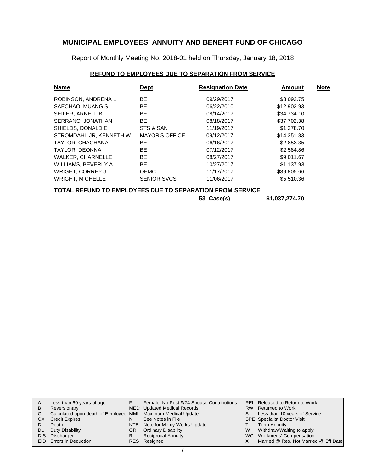Report of Monthly Meeting No. 2018-01 held on Thursday, January 18, 2018

### **REFUND TO EMPLOYEES DUE TO SEPARATION FROM SERVICE**

| <b>Name</b>                                                  | <b>Dept</b>           | <b>Resignation Date</b> | <b>Amount</b> | <b>Note</b> |
|--------------------------------------------------------------|-----------------------|-------------------------|---------------|-------------|
| ROBINSON, ANDRENA L                                          | BE.                   | 09/29/2017              | \$3,092.75    |             |
| SAECHAO, MUANG S                                             | BE.                   | 06/22/2010              | \$12,902.93   |             |
| SEIFER, ARNELL B                                             | BE.                   | 08/14/2017              | \$34,734.10   |             |
| SERRANO, JONATHAN                                            | BE.                   | 08/18/2017              | \$37.702.38   |             |
| SHIELDS, DONALD E                                            | STS & SAN             | 11/19/2017              | \$1,278.70    |             |
| STROMDAHL JR. KENNETH W                                      | <b>MAYOR'S OFFICE</b> | 09/12/2017              | \$14,351.83   |             |
| TAYLOR, CHACHANA                                             | BE.                   | 06/16/2017              | \$2,853.35    |             |
| TAYLOR, DEONNA                                               | BE.                   | 07/12/2017              | \$2,584.86    |             |
| <b>WALKER, CHARNELLE</b>                                     | BE.                   | 08/27/2017              | \$9,011.67    |             |
| WILLIAMS, BEVERLY A                                          | BE.                   | 10/27/2017              | \$1,137.93    |             |
| <b>WRIGHT, CORREY J</b>                                      | <b>OEMC</b>           | 11/17/2017              | \$39,805.66   |             |
| <b>WRIGHT, MICHELLE</b>                                      | <b>SENIOR SVCS</b>    | 11/06/2017              | \$5,510.36    |             |
| TATIL BEFLIND TA FIJBI AVEFA BLIF TA AFBIBITIAN FBAN AFBVIAF |                       |                         |               |             |

#### **TOTAL REFUND TO EMPLOYEES DUE TO SEPARATION FROM SERVICE**

| 53 Case(s) | \$1,037,274.70 |
|------------|----------------|
|------------|----------------|

| A  | Less than 60 years of age                                    |    | Female: No Post 9/74 Spouse Contributions |   | REL Released to Return to Work        |
|----|--------------------------------------------------------------|----|-------------------------------------------|---|---------------------------------------|
| B  | Reversionary                                                 |    | MED Updated Medical Records               |   | RW Returned to Work                   |
|    | Calculated upon death of Employee MMI Maximum Medical Update |    |                                           | S | Less than 10 years of Service         |
| СX | <b>Credit Expires</b>                                        | N  | See Notes in File                         |   | <b>SPE</b> Specialist Doctor Visit    |
|    | Death                                                        |    | NTE Note for Mercy Works Update           |   | <b>Term Annuity</b>                   |
| DU | Duty Disability                                              | OR | <b>Ordinary Disability</b>                | W | Withdraw/Waiting to apply             |
|    | DIS Discharged                                               | R  | <b>Reciprocal Annuity</b>                 |   | WC Workmens' Compensation             |
|    | EID Errors in Deduction                                      |    | RES Resigned                              |   | Married @ Res, Not Married @ Eff Date |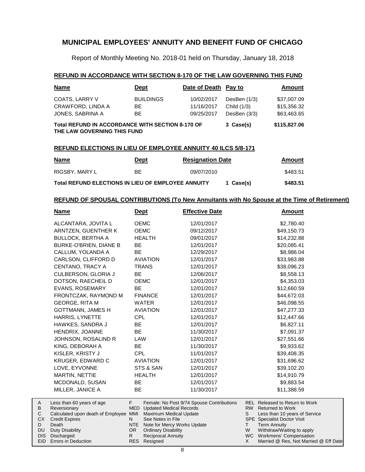Report of Monthly Meeting No. 2018-01 held on Thursday, January 18, 2018

#### **REFUND IN ACCORDANCE WITH SECTION 8-170 OF THE LAW GOVERNING THIS FUND**

| <b>Name</b>                                                                            | <b>Dept</b>      | Date of Death Pay to |                | Amount       |
|----------------------------------------------------------------------------------------|------------------|----------------------|----------------|--------------|
| COATS, LARRY V                                                                         | <b>BUILDINGS</b> | 10/02/2017           | DesBen $(1/3)$ | \$37,007.09  |
| CRAWFORD, LINDA A                                                                      | BE.              | 11/16/2017           | Child (1/3)    | \$15,356.32  |
| JONES, SABRINA A                                                                       | BE.              | 09/25/2017           | DesBen $(3/3)$ | \$63,463.65  |
| <b>Total REFUND IN ACCORDANCE WITH SECTION 8-170 OF</b><br>THE LAW GOVERNING THIS FUND |                  |                      | 3 Case(s)      | \$115,827.06 |

#### **REFUND ELECTIONS IN LIEU OF EMPLOYEE ANNUITY 40 ILCS 5/8-171**

| <u>Name</u>                                               | <b>Dept</b> | <b>Resignation Date</b> |           | Amount   |
|-----------------------------------------------------------|-------------|-------------------------|-----------|----------|
| RIGSBY, MARY L                                            | BE.         | 09/07/2010              |           | \$483.51 |
| <b>Total REFUND ELECTIONS IN LIEU OF EMPLOYEE ANNUITY</b> |             |                         | 1 Case(s) | \$483.51 |

### **REFUND OF SPOUSAL CONTRIBUTIONS (To New Annuitants with No Spouse at the Time of Retirement)**

| <u>Name</u>              | <u>Dept</u>     | <b>Effective Date</b> | <b>Amount</b> |
|--------------------------|-----------------|-----------------------|---------------|
| ALCANTARA, JOVITA L      | <b>OEMC</b>     | 12/01/2017            | \$2,780.40    |
| ARNTZEN, GUENTHER K      | <b>OEMC</b>     | 09/12/2017            | \$49,150.73   |
| <b>BULLOCK, BERTHA A</b> | <b>HEALTH</b>   | 09/01/2017            | \$14,232.88   |
| BURKE-O'BRIEN, DIANE B   | BE.             | 12/01/2017            | \$20,085.41   |
| CALLUM, YOLANDA A        | BE.             | 12/29/2017            | \$8,986.04    |
| CARLSON, CLIFFORD D      | <b>AVIATION</b> | 12/01/2017            | \$33,983.88   |
| CENTANO, TRACY A         | <b>TRANS</b>    | 12/01/2017            | \$38,096.23   |
| CULBERSON, GLORIA J      | BE              | 12/06/2017            | \$8,558.13    |
| DOTSON, RAECHEIL D       | <b>OEMC</b>     | 12/01/2017            | \$4,353.03    |
| <b>EVANS, ROSEMARY</b>   | <b>BE</b>       | 12/01/2017            | \$12,660.59   |
| FRONTCZAK, RAYMOND M     | <b>FINANCE</b>  | 12/01/2017            | \$44,672.03   |
| GEORGE, RITA M           | <b>WATER</b>    | 12/01/2017            | \$46,098.55   |
| <b>GOTTMANN, JAMES H</b> | <b>AVIATION</b> | 12/01/2017            | \$47,277.33   |
| HARRIS, LYNETTE          | CPL.            | 12/01/2017            | \$12,447.66   |
| HAWKES, SANDRA J         | <b>BE</b>       | 12/01/2017            | \$6,827.11    |
| HENDRIX, JOANNE          | <b>BE</b>       | 11/30/2017            | \$7,091.37    |
| JOHNSON, ROSALIND R      | LAW             | 12/01/2017            | \$27,551.66   |
| KING, DEBORAH A          | <b>BE</b>       | 11/30/2017            | \$9,933.62    |
| KISLER, KRISTY J         | CPL             | 11/01/2017            | \$39,408.35   |
| KRUGER, EDWARD C         | <b>AVIATION</b> | 12/01/2017            | \$31,696.62   |
| LOVE, EYVONNE            | STS & SAN       | 12/01/2017            | \$39,102.20   |
| MARTIN, NETTIE           | <b>HEALTH</b>   | 12/01/2017            | \$14,910.79   |
| MCDONALD, SUSAN          | BE.             | 12/01/2017            | \$9,883.54    |
| MILLER, JANICE A         | <b>BE</b>       | 11/30/2017            | \$11,388.59   |
|                          |                 |                       |               |

| A   | Less than 60 years of age                                    |     | Female: No Post 9/74 Spouse Contributions |   | REL Released to Return to Work        |
|-----|--------------------------------------------------------------|-----|-------------------------------------------|---|---------------------------------------|
| B.  | Reversionary                                                 |     | MED Updated Medical Records               |   | RW Returned to Work                   |
|     | Calculated upon death of Employee MMI Maximum Medical Update |     |                                           |   | Less than 10 years of Service         |
| CX. | <b>Credit Expires</b>                                        |     | See Notes in File                         |   | <b>SPE</b> Specialist Doctor Visit    |
|     | Death                                                        |     | NTE Note for Mercy Works Update           |   | <b>Term Annuity</b>                   |
| DU. | Duty Disability                                              | OR. | <b>Ordinary Disability</b>                | W | Withdraw/Waiting to apply             |
|     | DIS Discharged                                               |     | <b>Reciprocal Annuity</b>                 |   | WC Workmens' Compensation             |
|     | <b>EID</b> Errors in Deduction                               |     | RES Resigned                              |   | Married @ Res, Not Married @ Eff Date |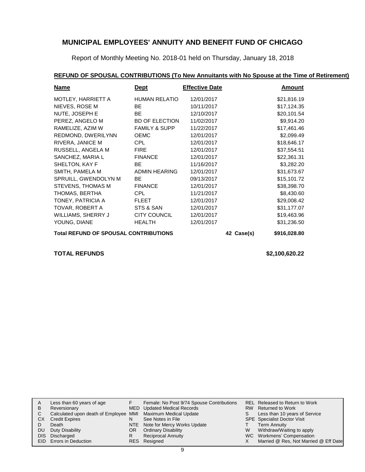Report of Monthly Meeting No. 2018-01 held on Thursday, January 18, 2018

## **REFUND OF SPOUSAL CONTRIBUTIONS (To New Annuitants with No Spouse at the Time of Retirement)**

| <b>Name</b>                                  | <b>Dept</b>              | <b>Effective Date</b> |            | <b>Amount</b> |
|----------------------------------------------|--------------------------|-----------------------|------------|---------------|
| MOTLEY, HARRIETT A                           | <b>HUMAN RELATIO</b>     | 12/01/2017            |            | \$21,816.19   |
| NIEVES, ROSE M                               | BE.                      | 10/11/2017            |            | \$17,124.35   |
| NUTE, JOSEPH E                               | <b>BE</b>                | 12/10/2017            |            | \$20,101.54   |
| PEREZ, ANGELO M                              | <b>BD OF ELECTION</b>    | 11/02/2017            |            | \$9,914.20    |
| RAMELIZE, AZIM W                             | <b>FAMILY &amp; SUPP</b> | 11/22/2017            |            | \$17,461.46   |
| REDMOND, DWERILYNN                           | <b>OEMC</b>              | 12/01/2017            |            | \$2,099.49    |
| RIVERA, JANICE M                             | CPL                      | 12/01/2017            |            | \$18,646.17   |
| RUSSELL, ANGELA M                            | <b>FIRE</b>              | 12/01/2017            |            | \$37,554.51   |
| SANCHEZ, MARIA L                             | <b>FINANCE</b>           | 12/01/2017            |            | \$22,361.31   |
| SHELTON, KAY F                               | BE.                      | 11/16/2017            |            | \$3,282.20    |
| SMITH, PAMELA M                              | <b>ADMIN HEARING</b>     | 12/01/2017            |            | \$31,673.67   |
| SPRUILL, GWENDOLYN M                         | <b>BE</b>                | 09/13/2017            |            | \$15,101.72   |
| STEVENS, THOMAS M                            | <b>FINANCE</b>           | 12/01/2017            |            | \$38,398.70   |
| THOMAS, BERTHA                               | CPL                      | 11/21/2017            |            | \$8,430.60    |
| TONEY, PATRICIA A                            | <b>FLEET</b>             | 12/01/2017            |            | \$29,008.42   |
| TOVAR, ROBERT A                              | STS & SAN                | 12/01/2017            |            | \$31,177.07   |
| WILLIAMS, SHERRY J                           | <b>CITY COUNCIL</b>      | 12/01/2017            |            | \$19,463.96   |
| YOUNG, DIANE                                 | <b>HEALTH</b>            | 12/01/2017            |            | \$31,236.50   |
| <b>Total REFUND OF SPOUSAL CONTRIBUTIONS</b> |                          |                       | 42 Case(s) | \$916,028.80  |

### **TOTAL REFUNDS \$2,100,620.22**

| A         | Less than 60 years of age                                    |    | Female: No Post 9/74 Spouse Contributions |   | REL Released to Return to Work        |
|-----------|--------------------------------------------------------------|----|-------------------------------------------|---|---------------------------------------|
| B         | Reversionary                                                 |    | MED Updated Medical Records               |   | RW Returned to Work                   |
|           | Calculated upon death of Employee MMI Maximum Medical Update |    |                                           | S | Less than 10 years of Service         |
| <b>CX</b> | <b>Credit Expires</b>                                        | N  | See Notes in File                         |   | <b>SPE</b> Specialist Doctor Visit    |
|           | Death                                                        |    | NTE Note for Mercy Works Update           |   | <b>Term Annuity</b>                   |
| DU        | Duty Disability                                              | OR | <b>Ordinary Disability</b>                | W | Withdraw/Waiting to apply             |
|           | DIS Discharged                                               |    | <b>Reciprocal Annuity</b>                 |   | WC Workmens' Compensation             |
|           | <b>EID</b> Errors in Deduction                               |    | RES Resigned                              |   | Married @ Res, Not Married @ Eff Date |
|           |                                                              |    |                                           |   |                                       |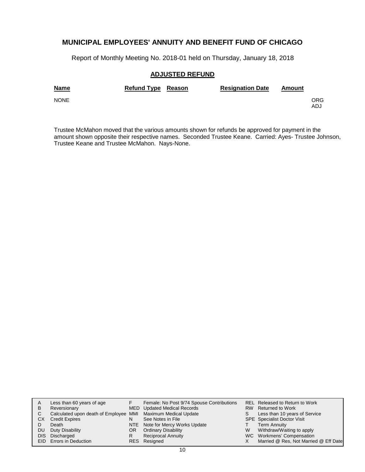Report of Monthly Meeting No. 2018-01 held on Thursday, January 18, 2018

#### **ADJUSTED REFUND**

| <b>Name</b> | <b>Refund Type Reason</b> | <b>Resignation Date</b> | Amount |             |
|-------------|---------------------------|-------------------------|--------|-------------|
| <b>NONE</b> |                           |                         |        | ORG.<br>ADJ |

Trustee McMahon moved that the various amounts shown for refunds be approved for payment in the amount shown opposite their respective names. Seconded Trustee Keane. Carried: Ayes- Trustee Johnson, Trustee Keane and Trustee McMahon. Nays-None.

| A   | Less than 60 years of age                                    |     | Female: No Post 9/74 Spouse Contributions |   | REL Released to Return to Work        |
|-----|--------------------------------------------------------------|-----|-------------------------------------------|---|---------------------------------------|
| B   | Reversionary                                                 |     | <b>MED</b> Updated Medical Records        |   | RW Returned to Work                   |
| C   | Calculated upon death of Employee MMI Maximum Medical Update |     |                                           | S | Less than 10 years of Service         |
| CХ  | <b>Credit Expires</b>                                        | N   | See Notes in File                         |   | <b>SPE</b> Specialist Doctor Visit    |
|     | Death                                                        |     | NTE Note for Mercy Works Update           |   | <b>Term Annuity</b>                   |
| DU. | Duty Disability                                              | OR. | <b>Ordinary Disability</b>                | W | Withdraw/Waiting to apply             |
|     | DIS Discharged                                               | R   | <b>Reciprocal Annuity</b>                 |   | WC Workmens' Compensation             |
|     | <b>EID</b> Errors in Deduction                               |     | RES Resigned                              |   | Married @ Res, Not Married @ Eff Date |
|     |                                                              |     |                                           |   |                                       |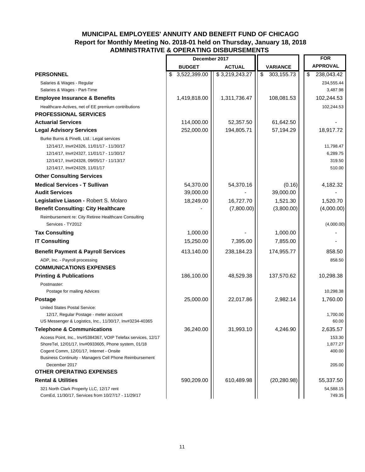## **MUNICIPAL EMPLOYEES' ANNUITY AND BENEFIT FUND OF CHICAGO Report for Monthly Meeting No. 2018-01 held on Thursday, January 18, 2018 ADMINISTRATIVE & OPERATING DISBURSEMENTS**

|                                                                                                  | December 2017      |                |                  | <b>FOR</b>          |
|--------------------------------------------------------------------------------------------------|--------------------|----------------|------------------|---------------------|
|                                                                                                  | <b>BUDGET</b>      | <b>ACTUAL</b>  | <b>VARIANCE</b>  | <b>APPROVAL</b>     |
| <b>PERSONNEL</b>                                                                                 | \$<br>3,522,399.00 | \$3,219,243.27 | \$<br>303,155.73 | \$<br>238,043.42    |
| Salaries & Wages - Regular                                                                       |                    |                |                  | 234,555.44          |
| Salaries & Wages - Part-Time                                                                     |                    |                |                  | 3,487.98            |
| <b>Employee Insurance &amp; Benefits</b>                                                         | 1,419,818.00       | 1,311,736.47   | 108,081.53       | 102,244.53          |
| Healthcare-Actives, net of EE premium contributions                                              |                    |                |                  | 102,244.53          |
| <b>PROFESSIONAL SERVICES</b>                                                                     |                    |                |                  |                     |
| <b>Actuarial Services</b>                                                                        | 114,000.00         | 52,357.50      | 61,642.50        |                     |
| <b>Legal Advisory Services</b>                                                                   | 252,000.00         | 194,805.71     | 57,194.29        | 18,917.72           |
| Burke Burns & Pinelli, Ltd.: Legal services                                                      |                    |                |                  |                     |
| 12/14/17, Inv#24326, 11/01/17 - 11/30/17                                                         |                    |                |                  | 11,798.47           |
| 12/14/17, Inv#24327, 11/01/17 - 11/30/17                                                         |                    |                |                  | 6,289.75            |
| 12/14/17, Inv#24328, 09/05/17 - 11/13/17                                                         |                    |                |                  | 319.50              |
| 12/14/17, Inv#24329, 11/01/17                                                                    |                    |                |                  | 510.00              |
| <b>Other Consulting Services</b>                                                                 |                    |                |                  |                     |
| <b>Medical Services - T Sullivan</b>                                                             | 54,370.00          | 54,370.16      | (0.16)           | 4,182.32            |
| <b>Audit Services</b>                                                                            | 39,000.00          |                | 39,000.00        |                     |
| Legislative Liason - Robert S. Molaro                                                            | 18,249.00          | 16,727.70      | 1,521.30         | 1,520.70            |
| <b>Benefit Consulting: City Healthcare</b>                                                       |                    | (7,800.00)     | (3,800.00)       | (4,000.00)          |
| Reimbursement re: City Retiree Healthcare Consulting                                             |                    |                |                  |                     |
| Services - TY2012                                                                                |                    |                |                  | (4,000.00)          |
| <b>Tax Consulting</b>                                                                            | 1,000.00           |                | 1,000.00         |                     |
| <b>IT Consulting</b>                                                                             | 15,250.00          | 7,395.00       | 7,855.00         |                     |
| <b>Benefit Payment &amp; Payroll Services</b>                                                    | 413,140.00         | 238,184.23     | 174,955.77       | 858.50              |
| ADP, Inc. - Payroll processing                                                                   |                    |                |                  | 858.50              |
| <b>COMMUNICATIONS EXPENSES</b>                                                                   |                    |                |                  |                     |
| <b>Printing &amp; Publications</b>                                                               | 186,100.00         | 48,529.38      | 137,570.62       | 10,298.38           |
| Postmaster:                                                                                      |                    |                |                  |                     |
| Postage for mailing Advices                                                                      |                    |                |                  | 10,298.38           |
| <b>Postage</b>                                                                                   | 25,000.00          | 22,017.86      | 2,982.14         | 1,760.00            |
| United States Postal Service:                                                                    |                    |                |                  |                     |
| 12/17, Regular Postage - meter account                                                           |                    |                |                  | 1,700.00            |
| US Messenger & Logistics, Inc., 11/30/17, Inv#3234-40365                                         |                    |                |                  | 60.00               |
| <b>Telephone &amp; Communications</b>                                                            | 36,240.00          | 31,993.10      | 4,246.90         | 2,635.57            |
| Access Point, Inc., Inv#5384367, VOIP Telefax services, 12/17                                    |                    |                |                  | 153.30              |
| ShoreTel, 12/01/17, Inv#0933605, Phone system, 01/18<br>Cogent Comm, 12/01/17, Internet - Onsite |                    |                |                  | 1,877.27<br>400.00  |
| Business Continuity - Managers Cell Phone Reimbursement                                          |                    |                |                  |                     |
| December 2017                                                                                    |                    |                |                  | 205.00              |
| <b>OTHER OPERATING EXPENSES</b>                                                                  |                    |                |                  |                     |
| <b>Rental &amp; Utilities</b>                                                                    | 590,209.00         | 610,489.98     | (20, 280.98)     | 55,337.50           |
| 321 North Clark Property LLC, 12/17 rent<br>ComEd, 11/30/17, Services from 10/27/17 - 11/29/17   |                    |                |                  | 54,588.15<br>749.35 |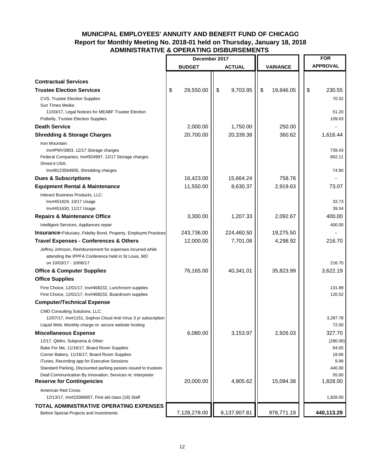## **MUNICIPAL EMPLOYEES' ANNUITY AND BENEFIT FUND OF CHICAGO Report for Monthly Meeting No. 2018-01 held on Thursday, January 18, 2018 ADMINISTRATIVE & OPERATING DISBURSEMENTS**

|                                                                                                                              | December 2017   |                |                 |    | <b>FOR</b>      |
|------------------------------------------------------------------------------------------------------------------------------|-----------------|----------------|-----------------|----|-----------------|
|                                                                                                                              | <b>BUDGET</b>   | <b>ACTUAL</b>  | <b>VARIANCE</b> |    | <b>APPROVAL</b> |
|                                                                                                                              |                 |                |                 |    |                 |
| <b>Contractual Services</b>                                                                                                  |                 |                |                 |    |                 |
| <b>Trustee Election Services</b>                                                                                             | \$<br>29,550.00 | \$<br>9,703.95 | \$<br>19,846.05 | \$ | 230.55          |
| CVS, Trustee Election Supplies                                                                                               |                 |                |                 |    | 70.32           |
| Sun Times Media:<br>11/03/17, Legal Notices for MEABF Trustee Election                                                       |                 |                |                 |    | 51.20           |
| Potbelly, Trustee Election Supplies                                                                                          |                 |                |                 |    | 109.03          |
| <b>Death Service</b>                                                                                                         | 2,000.00        | 1,750.00       | 250.00          |    |                 |
| <b>Shredding &amp; Storage Charges</b>                                                                                       | 20,700.00       | 20,339.38      | 360.62          |    | 1,616.44        |
| Iron Mountain:                                                                                                               |                 |                |                 |    |                 |
| Inv#PMV3903, 12/17 Storage charges                                                                                           |                 |                |                 |    | 739.43          |
| Federal Companies, Inv#924997, 12/17 Storage charges                                                                         |                 |                |                 |    | 802.11          |
| Shred-it USA:                                                                                                                |                 |                |                 |    |                 |
| Inv#8123564905, Shredding charges                                                                                            |                 |                |                 |    | 74.90           |
| <b>Dues &amp; Subscriptions</b>                                                                                              | 16,423.00       | 15,664.24      | 758.76          |    |                 |
| <b>Equipment Rental &amp; Maintenance</b>                                                                                    | 11,550.00       | 8,630.37       | 2,919.63        |    | 73.07           |
| Interact Business Products, LLC:                                                                                             |                 |                |                 |    |                 |
| Inv#451629, 10/17 Usage                                                                                                      |                 |                |                 |    | 33.73           |
| Inv#451630, 11/17 Usage                                                                                                      | 3,300.00        | 1,207.33       |                 |    | 39.34<br>400.00 |
| <b>Repairs &amp; Maintenance Office</b>                                                                                      |                 |                | 2,092.67        |    |                 |
| Intelligent Services, Appliances repair                                                                                      |                 |                |                 |    | 400.00          |
| <b>Insurance-Fiduciary, Fidelity Bond, Property, Employmt Practices</b>                                                      | 243,736.00      | 224,460.50     | 19,275.50       |    |                 |
| <b>Travel Expenses - Conferences &amp; Others</b>                                                                            | 12,000.00       | 7,701.08       | 4,298.92        |    | 216.70          |
| Jeffrey Johnson, Reimbursement for expenses incurred while                                                                   |                 |                |                 |    |                 |
| attending the IPPFA Conference held in St Louis, MO<br>on 10/03/17 - 10/06/17                                                |                 |                |                 |    | 216.70          |
| <b>Office &amp; Computer Supplies</b>                                                                                        | 76,165.00       | 40,341.01      | 35,823.99       |    | 3,622.19        |
| <b>Office Supplies</b>                                                                                                       |                 |                |                 |    |                 |
| First Choice, 12/01/17, Inv#468232, Lunchroom supplies                                                                       |                 |                |                 |    | 131.89          |
| First Choice, 12/01/17, Inv#468232, Boardroom supplies                                                                       |                 |                |                 |    | 120.52          |
| <b>Computer/Technical Expense</b>                                                                                            |                 |                |                 |    |                 |
| <b>CMD Consulting Solutions, LLC:</b>                                                                                        |                 |                |                 |    |                 |
| 12/07/17, Inv#1151, Sophos Cloud Anti-Virus 3 yr subscription                                                                |                 |                |                 |    | 3,297.78        |
| Liquid Web, Monthly charge re: secure website hosting                                                                        |                 |                |                 |    | 72.00           |
| <b>Miscellaneous Expense</b>                                                                                                 | 6,080.00        | 3,153.97       | 2,926.03        |    | 327.70          |
| 12/17, Qildro, Subpoena & Other:                                                                                             |                 |                |                 |    | (280.00)        |
| Bake For Me, 11/16/17, Board Room Supplies                                                                                   |                 |                |                 |    | 84.05           |
| Corner Bakery, 11/16/17, Board Room Supplies                                                                                 |                 |                |                 |    | 18.66           |
| iTunes, Recording app for Executive Sessions                                                                                 |                 |                |                 |    | 9.99<br>440.00  |
| Standard Parking, Discounted parking passes issued to trustees<br>Deaf Communication By Innovation, Services re: Interpreter |                 |                |                 |    | 55.00           |
| <b>Reserve for Contingencies</b>                                                                                             | 20,000.00       | 4,905.62       | 15,094.38       |    | 1,828.00        |
| American Red Cross:                                                                                                          |                 |                |                 |    |                 |
| 12/13/17, Inv#22066857, First aid class (18) Staff                                                                           |                 |                |                 |    | 1,828.00        |
| <b>TOTAL ADMINISTRATIVE OPERATING EXPENSES</b>                                                                               |                 |                |                 |    |                 |
| Before Special Projects and Investments                                                                                      | 7,128,278.00    | 6,137,907.81   | 978,771.19      |    | 440,113.29      |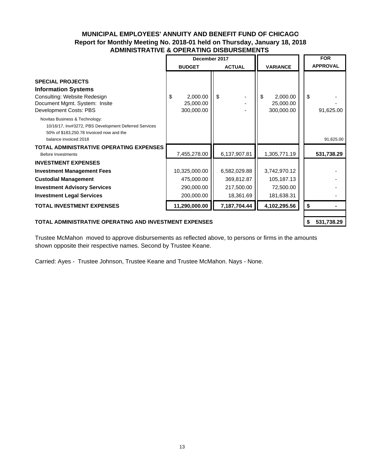### **MUNICIPAL EMPLOYEES' ANNUITY AND BENEFIT FUND OF CHICAGO Report for Monthly Meeting No. 2018-01 held on Thursday, January 18, 2018 ADMINISTRATIVE & OPERATING DISBURSEMENTS**

|                                                                                                                                                              | December 2017                             |               |                                           | <b>FOR</b>      |
|--------------------------------------------------------------------------------------------------------------------------------------------------------------|-------------------------------------------|---------------|-------------------------------------------|-----------------|
|                                                                                                                                                              | <b>BUDGET</b>                             | <b>ACTUAL</b> | <b>VARIANCE</b>                           | <b>APPROVAL</b> |
| <b>SPECIAL PROJECTS</b><br><b>Information Systems</b><br>Consulting: Website Redesign<br>Document Mgmt. System: Insite<br>Development Costs: PBS             | 2,000.00<br>\$<br>25,000.00<br>300,000.00 | \$            | \$<br>2,000.00<br>25,000.00<br>300,000.00 | \$<br>91,625.00 |
| Novitas Business & Technology:<br>10/16/17, Inv#3272, PBS Development Deferred Services<br>50% of \$183,250.78 Invoiced now and the<br>balance invoiced 2018 |                                           |               |                                           | 91,625.00       |
| <b>TOTAL ADMINISTRATIVE OPERATING EXPENSES</b><br>Before Investments                                                                                         | 7,455,278.00                              | 6,137,907.81  | 1,305,771.19                              | 531,738.29      |
| <b>INVESTMENT EXPENSES</b>                                                                                                                                   |                                           |               |                                           |                 |
| <b>Investment Management Fees</b>                                                                                                                            | 10,325,000.00                             | 6,582,029.88  | 3,742,970.12                              |                 |
| <b>Custodial Management</b>                                                                                                                                  | 475,000.00                                | 369,812.87    | 105,187.13                                |                 |
| <b>Investment Advisory Services</b>                                                                                                                          | 290,000.00                                | 217,500.00    | 72,500.00                                 |                 |
| <b>Investment Legal Services</b>                                                                                                                             | 200,000.00                                | 18,361.69     | 181,638.31                                |                 |
| <b>TOTAL INVESTMENT EXPENSES</b>                                                                                                                             | 11,290,000.00                             | 7,187,704.44  | 4,102,295.56                              | \$              |
|                                                                                                                                                              |                                           |               |                                           |                 |

#### **TOTAL ADMINISTRATIVE OPERATING AND INVESTMENT EXPENSES 531,738.29 \$**

Trustee McMahon moved to approve disbursements as reflected above, to persons or firms in the amounts shown opposite their respective names. Second by Trustee Keane.

Carried: Ayes - Trustee Johnson, Trustee Keane and Trustee McMahon. Nays - None.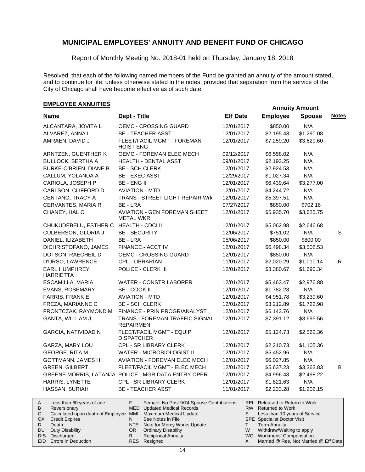Report of Monthly Meeting No. 2018-01 held on Thursday, January 18, 2018

Resolved, that each of the following named members of the Fund be granted an annuity of the amount stated, and to continue for life, unless otherwise stated in the notes, provided that separation from the service of the City of Chicago shall have become effective as of such date:

## **EMPLOYEE ANNUITIES**

|                                    |                                                           |                 | ANIUS ANIVAN                    |               |              |
|------------------------------------|-----------------------------------------------------------|-----------------|---------------------------------|---------------|--------------|
| <b>Name</b>                        | Dept - Title                                              | <b>Eff Date</b> | <b>Employee</b>                 | <b>Spouse</b> | <b>Notes</b> |
| ALCANTARA, JOVITA L                | OEMC - CROSSING GUARD                                     | 12/01/2017      | \$850.00                        | N/A           |              |
| ALVAREZ, ANNA L                    | <b>BE - TEACHER ASST</b>                                  | 12/01/2017      | \$2,195.43                      | \$1,290.08    |              |
| AMRAEN, DAVID J                    | FLEET/FACIL MGMT - FOREMAN<br><b>HOIST ENG</b>            | 12/01/2017      | \$7,259.20                      | \$3,629.60    |              |
| ARNTZEN, GUENTHER K                | OEMC - FOREMAN ELEC MECH                                  | 09/12/2017      | \$6,558.02                      | N/A           |              |
| <b>BULLOCK, BERTHA A</b>           | HEALTH - DENTAL ASST                                      | 09/01/2017      | \$2,192.25                      | N/A           |              |
| BURKE-O'BRIEN, DIANE B             | <b>BE - SCH CLERK</b>                                     | 12/01/2017      | \$2,924.53                      | N/A           |              |
| CALLUM, YOLANDA A                  | <b>BE - EXEC ASST</b>                                     | 12/29/2017      | \$1,027.34                      | N/A           |              |
| CARIOLA, JOSEPH P                  | <b>BE - ENG II</b>                                        | 12/01/2017      | \$6,439.64                      | \$3,277.00    |              |
| CARLSON, CLIFFORD D                | <b>AVIATION - MTD</b>                                     | 12/01/2017      | \$4,244.72                      | N/A           |              |
| CENTANO, TRACY A                   | <b>TRANS - STREET LIGHT REPAIR Wrk</b>                    | 12/01/2017      | \$5,397.51                      | N/A           |              |
| CERVANTES, MARIA R                 | BE - LRA                                                  | 07/27/2017      | \$850.00                        | \$702.16      |              |
| CHANEY, HAL O                      | <b>AVIATION - GEN FOREMAN SHEET</b><br><b>METAL WKR</b>   | 12/01/2017      | \$5,935.70                      | \$3,625.75    |              |
| CHUKUDEBELU, ESTHER C              | <b>HEALTH - CDCI II</b>                                   | 12/01/2017      | \$5,062.98                      | \$2,646.68    |              |
| CULBERSON, GLORIA J                | <b>BE - SECURITY</b>                                      | 12/06/2017      | \$751.02                        | N/A           | $\mathsf{s}$ |
| DANIEL, ILIZABETH                  | BE - LRA                                                  | 05/06/2017      | \$850.00                        | \$800.00      |              |
| DICHRISTOFANO, JAMES               | FINANCE - ACCT IV                                         | 12/01/2017      | \$6,498.34                      | \$3,508.53    |              |
| DOTSON, RAECHEIL D                 | OEMC - CROSSING GUARD                                     | 12/01/2017      | \$850.00                        | N/A           |              |
| D'URSO, LAWRENCE                   | CPL - LIBRARIAN                                           | 11/01/2017      | \$2,020.29                      | \$1,010.14    | $\mathsf{R}$ |
| EARL HUMPHREY,<br><b>HARRIETTA</b> | POLICE - CLERK III                                        | 12/01/2017      | \$3,380.67                      | \$1,690.34    |              |
| ESCAMILLA, MARIA                   | <b>WATER - CONSTR LABORER</b>                             | 12/01/2017      | \$5,463.47                      | \$2,976.88    |              |
| EVANS, ROSEMARY                    | BE - COOK II                                              | 12/01/2017      | \$1,782.23                      | N/A           |              |
| FARRIS, FRANK E                    | <b>AVIATION - MTD</b>                                     | 12/01/2017      | \$4,951.78                      | \$3,239.60    |              |
| FREZA, MARIANNE C                  | <b>BE - SCH CLERK</b>                                     | 12/01/2017      | \$3,212.89                      | \$1,722.98    |              |
| FRONTCZAK, RAYMOND M               | FINANCE - PRIN PROGR/ANALYST                              | 12/01/2017      | \$6,143.76                      | N/A           |              |
| GANTA, WILLIAM J                   | TRANS - FOREMAN TRAFFIC SIGNAL<br><b>REPAIRMEN</b>        | 12/01/2017      | \$7,391.12                      | \$3,695.56    |              |
| GARCIA, NATIVIDAD N                | FLEET/FACIL MGMT - EQUIP<br><b>DISPATCHER</b>             | 12/01/2017      | \$5,124.73                      | \$2,562.36    |              |
| GARZA, MARY LOU                    | CPL - SR LIBRARY CLERK                                    | 12/01/2017      | \$2,210.73                      | \$1,105.36    |              |
| <b>GEORGE, RITA M</b>              | WATER - MICROBIOLOGIST II                                 | 12/01/2017      | \$5,452.96                      | N/A           |              |
| <b>GOTTMANN, JAMES H</b>           | <b>AVIATION - FOREMAN ELEC MECH</b>                       | 12/01/2017      | \$6,027.85                      | N/A           |              |
| <b>GREEN, GILBERT</b>              | FLEET/FACIL MGMT - ELEC MECH                              | 12/01/2017      | \$5,637.23                      | \$3,363.83    | B            |
|                                    | GREENE MORRIS, LATANJA POLICE - MGR DATA ENTRY OPER       | 12/01/2017      | \$4,996.43                      | \$2,498.22    |              |
| HARRIS, LYNETTE                    | CPL - SR LIBRARY CLERK                                    | 12/01/2017      | \$1,821.63                      | N/A           |              |
| HASSAN, SURIAH                     | <b>BE - TEACHER ASST</b>                                  | 11/01/2017      | \$2,233.28                      | \$1,202.15    |              |
| Location CO voors of one           | Famala: No Boot 0/74 Cnauge Contributions<br>$\mathbf{r}$ |                 | DEL Delegand to Deturn to Warle |               |              |

|           | Less than 60 years of age                                    |     | Female: No Post 9/74 Spouse Contributions |   | <b>REL Released to Return to Work</b> |
|-----------|--------------------------------------------------------------|-----|-------------------------------------------|---|---------------------------------------|
| B         | Reversionary                                                 |     | MED Updated Medical Records               |   | RW Returned to Work                   |
|           | Calculated upon death of Employee MMI Maximum Medical Update |     |                                           |   | Less than 10 years of Service         |
| CX.       | <b>Credit Expires</b>                                        |     | See Notes in File                         |   | <b>SPE</b> Specialist Doctor Visit    |
|           | Death                                                        |     | NTE Note for Mercy Works Update           |   | <b>Term Annuity</b>                   |
| <b>DU</b> | Duty Disability                                              | OR. | <b>Ordinary Disability</b>                | W | Withdraw/Waiting to apply             |
|           | DIS Discharged                                               |     | <b>Reciprocal Annuity</b>                 |   | WC Workmens' Compensation             |
|           | EID Errors in Deduction                                      |     | RES Resigned                              |   | Married @ Res, Not Married @ Eff Date |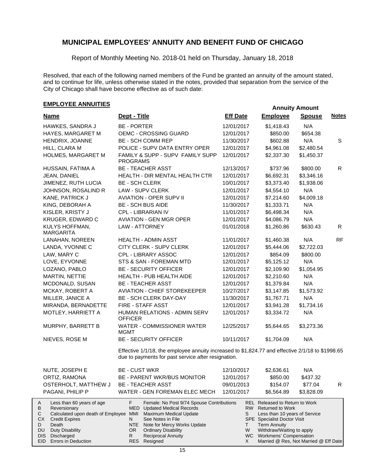Report of Monthly Meeting No. 2018-01 held on Thursday, January 18, 2018

Resolved, that each of the following named members of the Fund be granted an annuity of the amount stated, and to continue for life, unless otherwise stated in the notes, provided that separation from the service of the City of Chicago shall have become effective as of such date:

## **EMPLOYEE ANNUITIES**

DIS Discharged EID Errors in Deduction

| <b>Name</b>                                                                                                                                                                                                                                                                                                                                                                                                                                                                                                                                                                                                                       | Dept - Title                                                                                                                                            | <b>Eff Date</b> | <b>Employee</b> | <b>Spouse</b> | <b>Notes</b> |
|-----------------------------------------------------------------------------------------------------------------------------------------------------------------------------------------------------------------------------------------------------------------------------------------------------------------------------------------------------------------------------------------------------------------------------------------------------------------------------------------------------------------------------------------------------------------------------------------------------------------------------------|---------------------------------------------------------------------------------------------------------------------------------------------------------|-----------------|-----------------|---------------|--------------|
| HAWKES, SANDRA J                                                                                                                                                                                                                                                                                                                                                                                                                                                                                                                                                                                                                  | <b>BE - PORTER</b>                                                                                                                                      | 12/01/2017      | \$1,418.43      | N/A           |              |
| HAYES, MARGARET M                                                                                                                                                                                                                                                                                                                                                                                                                                                                                                                                                                                                                 | OEMC - CROSSING GUARD                                                                                                                                   | 12/01/2017      | \$850.00        | \$654.38      |              |
| HENDRIX, JOANNE                                                                                                                                                                                                                                                                                                                                                                                                                                                                                                                                                                                                                   | <b>BE - SCH COMM REP</b>                                                                                                                                | 11/30/2017      | \$602.88        | N/A           | S            |
| HILL, CLARA M                                                                                                                                                                                                                                                                                                                                                                                                                                                                                                                                                                                                                     | POLICE - SUPV DATA ENTRY OPER                                                                                                                           | 12/01/2017      | \$4,961.08      | \$2,480.54    |              |
| HOLMES, MARGARET M                                                                                                                                                                                                                                                                                                                                                                                                                                                                                                                                                                                                                | FAMILY & SUPP - SUPV FAMILY SUPP<br><b>PROGRAMS</b>                                                                                                     | 12/01/2017      | \$2,337.30      | \$1,450.37    |              |
| HUSSAIN, FATIMA A                                                                                                                                                                                                                                                                                                                                                                                                                                                                                                                                                                                                                 | <b>BE - TEACHER ASST</b>                                                                                                                                | 12/13/2017      | \$737.96        | \$800.00      | $\mathsf{R}$ |
| JEAN, DANIEL                                                                                                                                                                                                                                                                                                                                                                                                                                                                                                                                                                                                                      | HEALTH - DIR MENTAL HEALTH CTR                                                                                                                          | 12/01/2017      | \$6,692.31      | \$3,346.16    |              |
| JIMENEZ, RUTH LUCIA                                                                                                                                                                                                                                                                                                                                                                                                                                                                                                                                                                                                               | <b>BE - SCH CLERK</b>                                                                                                                                   | 10/01/2017      | \$3,373.40      | \$1,938.06    |              |
| JOHNSON, ROSALIND R                                                                                                                                                                                                                                                                                                                                                                                                                                                                                                                                                                                                               | LAW - SUPV CLERK                                                                                                                                        | 12/01/2017      | \$4,554.10      | N/A           |              |
| KANE, PATRICK J                                                                                                                                                                                                                                                                                                                                                                                                                                                                                                                                                                                                                   | <b>AVIATION - OPER SUPV II</b>                                                                                                                          | 12/01/2017      | \$7,214.60      | \$4,009.18    |              |
| KING, DEBORAH A                                                                                                                                                                                                                                                                                                                                                                                                                                                                                                                                                                                                                   | <b>BE - SCH BUS AIDE</b>                                                                                                                                | 11/30/2017      | \$1,333.71      | N/A           |              |
| KISLER, KRISTY J                                                                                                                                                                                                                                                                                                                                                                                                                                                                                                                                                                                                                  | CPL - LIBRARIAN IV                                                                                                                                      | 11/01/2017      | \$6,498.34      | N/A           |              |
| KRUGER, EDWARD C                                                                                                                                                                                                                                                                                                                                                                                                                                                                                                                                                                                                                  | <b>AVIATION - GEN MGR OPER</b>                                                                                                                          | 12/01/2017      | \$4,086.79      | N/A           |              |
| KULYS HOFFMAN,<br><b>MARGARITA</b>                                                                                                                                                                                                                                                                                                                                                                                                                                                                                                                                                                                                | <b>LAW - ATTORNEY</b>                                                                                                                                   | 01/01/2018      | \$1,260.86      | \$630.43      | R            |
| LANAHAN, NOREEN                                                                                                                                                                                                                                                                                                                                                                                                                                                                                                                                                                                                                   | <b>HEALTH - ADMIN ASST</b>                                                                                                                              | 11/01/2017      | \$1,460.38      | N/A           | <b>RF</b>    |
| LANDA, YVONNE C                                                                                                                                                                                                                                                                                                                                                                                                                                                                                                                                                                                                                   | CITY CLERK - SUPV CLERK                                                                                                                                 | 12/01/2017      | \$5,444.06      | \$2,722.03    |              |
| LAW, MARY C                                                                                                                                                                                                                                                                                                                                                                                                                                                                                                                                                                                                                       | CPL - LIBRARY ASSOC                                                                                                                                     | 12/01/2017      | \$854.09        | \$800.00      |              |
| LOVE, EYVONNE                                                                                                                                                                                                                                                                                                                                                                                                                                                                                                                                                                                                                     | STS & SAN - FOREMAN MTD                                                                                                                                 | 12/01/2017      | \$5,125.12      | N/A           |              |
| LOZANO, PABLO                                                                                                                                                                                                                                                                                                                                                                                                                                                                                                                                                                                                                     | <b>BE - SECURITY OFFICER</b>                                                                                                                            | 12/01/2017      | \$2,109.90      | \$1,054.95    |              |
| MARTIN, NETTIE                                                                                                                                                                                                                                                                                                                                                                                                                                                                                                                                                                                                                    | HEALTH - PUB HEALTH AIDE                                                                                                                                | 12/01/2017      | \$2,210.60      | N/A           |              |
| MCDONALD, SUSAN                                                                                                                                                                                                                                                                                                                                                                                                                                                                                                                                                                                                                   | <b>BE - TEACHER ASST</b>                                                                                                                                | 12/01/2017      | \$1,379.84      | N/A           |              |
| MCKAY, ROBERT A                                                                                                                                                                                                                                                                                                                                                                                                                                                                                                                                                                                                                   | <b>AVIATION - CHIEF STOREKEEPER</b>                                                                                                                     | 10/27/2017      | \$3,147.85      | \$1,573.92    |              |
| MILLER, JANICE A                                                                                                                                                                                                                                                                                                                                                                                                                                                                                                                                                                                                                  | BE - SCH CLERK DAY-DAY                                                                                                                                  | 11/30/2017      | \$1,767.71      | N/A           |              |
| MIRANDA, BERNADETTE                                                                                                                                                                                                                                                                                                                                                                                                                                                                                                                                                                                                               | FIRE - STAFF ASST                                                                                                                                       | 12/01/2017      | \$3,941.28      | \$1,734.16    |              |
| MOTLEY, HARRIETT A                                                                                                                                                                                                                                                                                                                                                                                                                                                                                                                                                                                                                | HUMAN RELATIONS - ADMIN SERV<br><b>OFFICER</b>                                                                                                          | 12/01/2017      | \$3,334.72      | N/A           |              |
| MURPHY, BARRETT B                                                                                                                                                                                                                                                                                                                                                                                                                                                                                                                                                                                                                 | WATER - COMMISSIONER WATER<br><b>MGMT</b>                                                                                                               | 12/25/2017      | \$5,644.65      | \$3,273.36    |              |
| NIEVES, ROSE M                                                                                                                                                                                                                                                                                                                                                                                                                                                                                                                                                                                                                    | <b>BE - SECURITY OFFICER</b>                                                                                                                            | 10/11/2017      | \$1,704.09      | N/A           |              |
|                                                                                                                                                                                                                                                                                                                                                                                                                                                                                                                                                                                                                                   | Effective 1/1/18, the employee annuity increased to \$1,824.77 and effective 2/1/18 to \$1998.65<br>due to payments for past service after resignation. |                 |                 |               |              |
| NUTE, JOSEPH E                                                                                                                                                                                                                                                                                                                                                                                                                                                                                                                                                                                                                    | <b>BE - CUST WKR</b>                                                                                                                                    | 12/10/2017      | \$2,636.61      | N/A           |              |
| ORTIZ, RAMONA                                                                                                                                                                                                                                                                                                                                                                                                                                                                                                                                                                                                                     | BE - PARENT WKR/BUS MONITOR                                                                                                                             | 12/01/2017      | \$850.00        | \$437.32      |              |
| OSTERHOLT, MATTHEW J                                                                                                                                                                                                                                                                                                                                                                                                                                                                                                                                                                                                              | <b>BE - TEACHER ASST</b>                                                                                                                                | 09/01/2013      | \$154.07        | \$77.04       | R            |
| PAGANI, PHILIP P                                                                                                                                                                                                                                                                                                                                                                                                                                                                                                                                                                                                                  | WATER - GEN FOREMAN ELEC MECH                                                                                                                           | 12/01/2017      | \$6,564.89      | \$3,828.09    |              |
| F.<br>Female: No Post 9/74 Spouse Contributions<br><b>REL Released to Return to Work</b><br>Less than 60 years of age<br>A<br>В<br>RW Returned to Work<br>Reversionary<br><b>MED</b> Updated Medical Records<br>Calculated upon death of Employee MMI<br><b>Maximum Medical Update</b><br>Less than 10 years of Service<br>С<br>S<br><b>CX</b><br>See Notes in File<br><b>SPE</b> Specialist Doctor Visit<br><b>Credit Expires</b><br>N<br>Death<br>NTE Note for Mercy Works Update<br><b>Term Annuity</b><br>D<br>Τ<br><b>DU</b><br><b>Duty Disability</b><br>W<br>Withdraw/Waiting to apply<br>OR<br><b>Ordinary Disability</b> |                                                                                                                                                         |                 |                 |               |              |

Reciprocal Annuity

Resigned RES

R

WC Workmens' Compensation

X

Married @ Res, Not Married @ Eff Date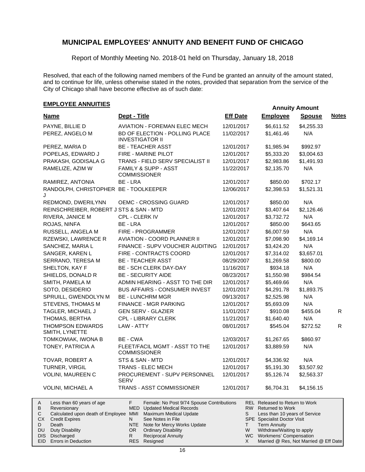Report of Monthly Meeting No. 2018-01 held on Thursday, January 18, 2018

Resolved, that each of the following named members of the Fund be granted an annuity of the amount stated, and to continue for life, unless otherwise stated in the notes, provided that separation from the service of the City of Chicago shall have become effective as of such date:

## **EMPLOYEE ANNUITIES**

| <b>Name</b>                                                                                                                                                                                                                       | Dept - Title                                                                                                                                                                                                                                                                               | <b>Eff Date</b>           | <b>Employee</b>                                                                                                                                                                                                                                            | <b>Spouse</b> | <b>Notes</b> |
|-----------------------------------------------------------------------------------------------------------------------------------------------------------------------------------------------------------------------------------|--------------------------------------------------------------------------------------------------------------------------------------------------------------------------------------------------------------------------------------------------------------------------------------------|---------------------------|------------------------------------------------------------------------------------------------------------------------------------------------------------------------------------------------------------------------------------------------------------|---------------|--------------|
| PAYNE, BILLIE D                                                                                                                                                                                                                   | <b>AVIATION - FOREMAN ELEC MECH</b>                                                                                                                                                                                                                                                        | 12/01/2017                | \$6,611.52                                                                                                                                                                                                                                                 | \$4,255.33    |              |
| PEREZ, ANGELO M                                                                                                                                                                                                                   | BD OF ELECTION - POLLING PLACE<br><b>INVESTIGATOR II</b>                                                                                                                                                                                                                                   | 11/02/2017                | \$1,461.46                                                                                                                                                                                                                                                 | N/A           |              |
| PEREZ, MARIA D                                                                                                                                                                                                                    | <b>BE - TEACHER ASST</b>                                                                                                                                                                                                                                                                   | 12/01/2017                | \$1,985.94                                                                                                                                                                                                                                                 | \$992.97      |              |
| POPELAS, EDWARD J                                                                                                                                                                                                                 | FIRE - MARINE PILOT                                                                                                                                                                                                                                                                        | 12/01/2017                | \$5,333.20                                                                                                                                                                                                                                                 | \$3,004.63    |              |
| PRAKASH, GODISALA G                                                                                                                                                                                                               | TRANS - FIELD SERV SPECIALIST II                                                                                                                                                                                                                                                           | 12/01/2017                | \$2,983.86                                                                                                                                                                                                                                                 | \$1,491.93    |              |
| RAMELIZE, AZIM W                                                                                                                                                                                                                  | FAMILY & SUPP - ASST<br><b>COMMISSIONER</b>                                                                                                                                                                                                                                                | 11/22/2017                | \$2,135.70                                                                                                                                                                                                                                                 | N/A           |              |
| RAMIREZ, ANTONIA                                                                                                                                                                                                                  | BE - LRA                                                                                                                                                                                                                                                                                   | 12/01/2017                | \$850.00                                                                                                                                                                                                                                                   | \$702.17      |              |
| RANDOLPH, CHRISTOPHER BE - TOOLKEEPER<br>J                                                                                                                                                                                        |                                                                                                                                                                                                                                                                                            | 12/06/2017                | \$2,398.53                                                                                                                                                                                                                                                 | \$1,521.31    |              |
| REDMOND, DWERILYNN                                                                                                                                                                                                                | OEMC - CROSSING GUARD                                                                                                                                                                                                                                                                      | 12/01/2017                | \$850.00                                                                                                                                                                                                                                                   | N/A           |              |
| REINSCHREIBER, ROBERT J STS & SAN - MTD                                                                                                                                                                                           |                                                                                                                                                                                                                                                                                            | 12/01/2017                | \$3,407.64                                                                                                                                                                                                                                                 | \$2,126.46    |              |
| RIVERA, JANICE M                                                                                                                                                                                                                  | CPL - CLERK IV                                                                                                                                                                                                                                                                             | 12/01/2017                | \$3,732.72                                                                                                                                                                                                                                                 | N/A           |              |
| ROJAS, NINFA                                                                                                                                                                                                                      | BE - LRA                                                                                                                                                                                                                                                                                   | 12/01/2017                | \$850.00                                                                                                                                                                                                                                                   | \$643.65      |              |
| RUSSELL, ANGELA M                                                                                                                                                                                                                 | FIRE - PROGRAMMER                                                                                                                                                                                                                                                                          | 12/01/2017                | \$6,007.59                                                                                                                                                                                                                                                 | N/A           |              |
| RZEWSKI, LAWRENCE R                                                                                                                                                                                                               | <b>AVIATION - COORD PLANNER II</b>                                                                                                                                                                                                                                                         | 12/01/2017                | \$7,098.90                                                                                                                                                                                                                                                 | \$4,169.14    |              |
| SANCHEZ, MARIA L                                                                                                                                                                                                                  | FINANCE - SUPV VOUCHER AUDITING                                                                                                                                                                                                                                                            | 12/01/2017                | \$3,424.20                                                                                                                                                                                                                                                 | N/A           |              |
| SANGER, KAREN L                                                                                                                                                                                                                   | FIRE - CONTRACTS COORD                                                                                                                                                                                                                                                                     | 12/01/2017                | \$7,314.02                                                                                                                                                                                                                                                 | \$3,657.01    |              |
| SERRANO, TERESA M                                                                                                                                                                                                                 | <b>BE - TEACHER ASST</b>                                                                                                                                                                                                                                                                   | 08/29/2007                | \$1,269.58                                                                                                                                                                                                                                                 | \$800.00      |              |
| SHELTON, KAY F                                                                                                                                                                                                                    | BE - SCH CLERK DAY-DAY                                                                                                                                                                                                                                                                     | 11/16/2017                | \$934.18                                                                                                                                                                                                                                                   | N/A           |              |
| SHIELDS, DONALD R                                                                                                                                                                                                                 | <b>BE - SECURITY AIDE</b>                                                                                                                                                                                                                                                                  | 08/23/2017                | \$1,550.98                                                                                                                                                                                                                                                 | \$984.54      |              |
| SMITH, PAMELA M                                                                                                                                                                                                                   | ADMIN HEARING - ASST TO THE DIR                                                                                                                                                                                                                                                            | 12/01/2017                | \$5,469.66                                                                                                                                                                                                                                                 | N/A           |              |
| SOTO, DESIDERIO                                                                                                                                                                                                                   | <b>BUS AFFAIRS - CONSUMER INVEST</b>                                                                                                                                                                                                                                                       | 12/01/2017                | \$4,291.78                                                                                                                                                                                                                                                 | \$1,893.75    |              |
| SPRUILL, GWENDOLYN M                                                                                                                                                                                                              | <b>BE - LUNCHRM MGR</b>                                                                                                                                                                                                                                                                    | 09/13/2017                | \$2,525.98                                                                                                                                                                                                                                                 | N/A           |              |
| STEVENS, THOMAS M                                                                                                                                                                                                                 | FINANCE - MGR PARKING                                                                                                                                                                                                                                                                      | 12/01/2017                | \$5,693.09                                                                                                                                                                                                                                                 | N/A           |              |
| TAGLER, MICHAEL J                                                                                                                                                                                                                 | <b>GEN SERV - GLAZIER</b>                                                                                                                                                                                                                                                                  | 11/01/2017                | \$910.08                                                                                                                                                                                                                                                   | \$455.04      | R            |
| THOMAS, BERTHA                                                                                                                                                                                                                    | <b>CPL - LIBRARY CLERK</b>                                                                                                                                                                                                                                                                 | 11/21/2017                | \$1,640.40                                                                                                                                                                                                                                                 | N/A           |              |
| <b>THOMPSON EDWARDS</b><br>SMITH, LYNETTE                                                                                                                                                                                         | LAW - ATTY                                                                                                                                                                                                                                                                                 | 08/01/2017                | \$545.04                                                                                                                                                                                                                                                   | \$272.52      | R            |
| TOMKOWIAK, IWONA B                                                                                                                                                                                                                | BE - CWA                                                                                                                                                                                                                                                                                   | 12/03/2017                | \$1,267.65                                                                                                                                                                                                                                                 | \$860.97      |              |
| TONEY, PATRICIA A                                                                                                                                                                                                                 | FLEET/FACIL MGMT - ASST TO THE<br><b>COMMISSIONER</b>                                                                                                                                                                                                                                      | 12/01/2017                | \$3,889.59                                                                                                                                                                                                                                                 | N/A           |              |
| TOVAR, ROBERT A                                                                                                                                                                                                                   | STS & SAN - MTD                                                                                                                                                                                                                                                                            | 12/01/2017                | \$4,336.92                                                                                                                                                                                                                                                 | N/A           |              |
| TURNER, VIRGIL                                                                                                                                                                                                                    | <b>TRANS - ELEC MECH</b>                                                                                                                                                                                                                                                                   | 12/01/2017                | \$5,191.30                                                                                                                                                                                                                                                 | \$3,507.92    |              |
| VOLINI, MAUREEN C                                                                                                                                                                                                                 | PROCUREMENT - SUPV PERSONNEL<br><b>SERV</b>                                                                                                                                                                                                                                                | 12/01/2017                | \$5,126.74                                                                                                                                                                                                                                                 | \$2,563.37    |              |
| <b>VOLINI, MICHAEL A</b>                                                                                                                                                                                                          | <b>TRANS - ASST COMMISSIONER</b>                                                                                                                                                                                                                                                           | 12/01/2017                | \$6,704.31                                                                                                                                                                                                                                                 | \$4,156.15    |              |
| Less than 60 years of age<br>A<br>B<br>Reversionary<br>С<br>Calculated upon death of Employee MMI<br>СX<br><b>Credit Expires</b><br>D<br>Death<br><b>Duty Disability</b><br>DU<br>Discharged<br>DIS<br>EID<br>Errors in Deduction | F<br>Female: No Post 9/74 Spouse Contributions<br>MED<br><b>Updated Medical Records</b><br><b>Maximum Medical Update</b><br>N<br>See Notes in File<br>NTE<br>Note for Mercy Works Update<br>OR.<br><b>Ordinary Disability</b><br><b>Reciprocal Annuity</b><br>R.<br><b>RES</b><br>Resigned | RW  <br>S<br>Τ<br>W<br>X. | REL Released to Return to Work<br><b>Returned to Work</b><br>Less than 10 years of Service<br><b>SPE</b> Specialist Doctor Visit<br><b>Term Annuity</b><br>Withdraw/Waiting to apply<br>WC Workmens' Compensation<br>Married @ Res, Not Married @ Eff Date |               |              |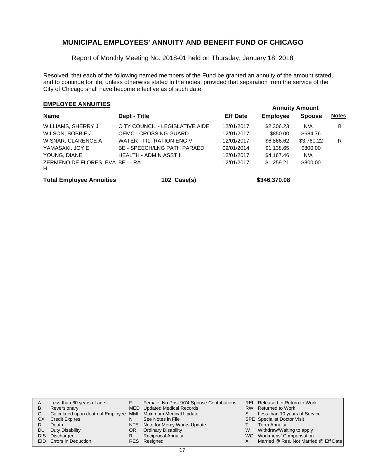Report of Monthly Meeting No. 2018-01 held on Thursday, January 18, 2018

Resolved, that each of the following named members of the Fund be granted an annuity of the amount stated, and to continue for life, unless otherwise stated in the notes, provided that separation from the service of the City of Chicago shall have become effective as of such date:

## **EMPLOYEE ANNUITIES**

| Dept - Title                                             | <b>Eff Date</b>          | Employee               | <b>Spouse</b>   | <b>Notes</b> |
|----------------------------------------------------------|--------------------------|------------------------|-----------------|--------------|
| CITY COUNCIL - LEGISLATIVE AIDE<br>OEMC - CROSSING GUARD | 12/01/2017<br>12/01/2017 | \$2,306.23<br>\$850.00 | N/A<br>\$684.76 | B            |
| WATER - FILTRATION ENG V                                 | 12/01/2017               | \$6,866.62             | \$3,760.22      | R            |
| <b>BE - SPEECH/LNG PATH PARAED</b>                       | 09/01/2014               | \$1,138.65             | \$800.00        |              |
| HEALTH - ADMIN ASST II                                   | 12/01/2017               | \$4,167.46             | N/A             |              |
| ZERMENO DE FLORES, EVA BE - LRA                          | 12/01/2017               | \$1.259.21             | \$800.00        |              |
|                                                          |                          |                        |                 |              |

**Total Employee Annuities 102 Case(s) \$346,370.08**

| A  | Less than 60 years of age                                    |    | Female: No Post 9/74 Spouse Contributions |   | REL Released to Return to Work        |
|----|--------------------------------------------------------------|----|-------------------------------------------|---|---------------------------------------|
| B  | Reversionary                                                 |    | MED Updated Medical Records               |   | RW Returned to Work                   |
|    | Calculated upon death of Employee MMI Maximum Medical Update |    |                                           | S | Less than 10 years of Service         |
| СX | <b>Credit Expires</b>                                        | N  | See Notes in File                         |   | <b>SPE</b> Specialist Doctor Visit    |
|    | Death                                                        |    | NTE Note for Mercy Works Update           |   | <b>Term Annuity</b>                   |
| DU | Duty Disability                                              | OR | <b>Ordinary Disability</b>                | W | Withdraw/Waiting to apply             |
|    | DIS Discharged                                               |    | <b>Reciprocal Annuity</b>                 |   | WC Workmens' Compensation             |
|    | <b>EID</b> Errors in Deduction                               |    | RES Resigned                              |   | Married @ Res, Not Married @ Eff Date |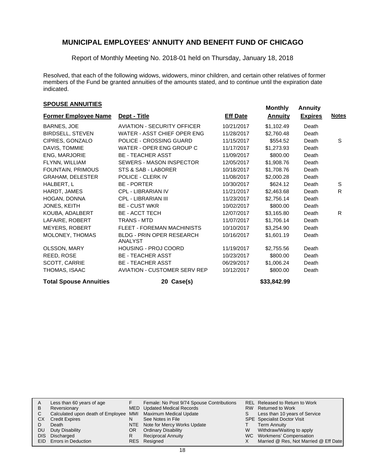Report of Monthly Meeting No. 2018-01 held on Thursday, January 18, 2018

Resolved, that each of the following widows, widowers, minor children, and certain other relatives of former members of the Fund be granted annuities of the amounts stated, and to continue until the expiration date indicated.

## **EXPOUSE ANNUITIES SPOUSE ANNUITIES**

| <b>Former Employee Name</b>   | Dept - Title                                | <b>Eff Date</b> | <b>Annuity</b> | <b>Expires</b> | <u>Notes</u> |
|-------------------------------|---------------------------------------------|-----------------|----------------|----------------|--------------|
|                               |                                             |                 |                |                |              |
| BARNES, JOE                   | <b>AVIATION - SECURITY OFFICER</b>          | 10/21/2017      | \$1,102.49     | Death          |              |
| <b>BIRDSELL, STEVEN</b>       | WATER - ASST CHIEF OPER ENG                 | 11/28/2017      | \$2,760.48     | Death          |              |
| CIPRES, GONZALO               | POLICE - CROSSING GUARD                     | 11/15/2017      | \$554.52       | Death          | S            |
| DAVIS, TOMMIE                 | WATER - OPER ENG GROUP C                    | 11/17/2017      | \$1,273.93     | Death          |              |
| <b>ENG, MARJORIE</b>          | <b>BE - TEACHER ASST</b>                    | 11/09/2017      | \$800.00       | Death          |              |
| FLYNN, WILLIAM                | <b>SEWERS - MASON INSPECTOR</b>             | 12/05/2017      | \$1,908.76     | Death          |              |
| FOUNTAIN, PRIMOUS             | STS & SAB - LABORER                         | 10/18/2017      | \$1,708.76     | Death          |              |
| <b>GRAHAM, DELESTER</b>       | POLICE - CLERK IV                           | 11/08/2017      | \$2,000.28     | Death          |              |
| HALBERT, L                    | <b>BE - PORTER</b>                          | 10/30/2017      | \$624.12       | Death          | S            |
| HARDT, JAMES                  | <b>CPL - LIBRARIAN IV</b>                   | 11/21/2017      | \$2,463.68     | Death          | R            |
| HOGAN, DONNA                  | <b>CPL - LIBRARIAN III</b>                  | 11/23/2017      | \$2,756.14     | Death          |              |
| JONES, KEITH                  | <b>BE - CUST WKR</b>                        | 10/02/2017      | \$800.00       | Death          |              |
| KOUBA, ADALBERT               | <b>BE - ACCT TECH</b>                       | 12/07/2017      | \$3,165.80     | Death          | R.           |
| LAFAIRE, ROBERT               | <b>TRANS - MTD</b>                          | 11/07/2017      | \$1,706.14     | Death          |              |
| <b>MEYERS, ROBERT</b>         | <b>FLEET - FOREMAN MACHINISTS</b>           | 10/10/2017      | \$3,254.90     | Death          |              |
| MOLONEY, THOMAS               | <b>BLDG - PRIN OPER RESEARCH</b><br>ANALYST | 10/16/2017      | \$1,601.19     | Death          |              |
| OLSSON, MARY                  | <b>HOUSING - PROJ COORD</b>                 | 11/19/2017      | \$2,755.56     | Death          |              |
| REED, ROSE                    | <b>BE - TEACHER ASST</b>                    | 10/23/2017      | \$800.00       | Death          |              |
| SCOTT, CARRIE                 | <b>BE - TEACHER ASST</b>                    | 06/29/2017      | \$1,006.24     | Death          |              |
| THOMAS, ISAAC                 | <b>AVIATION - CUSTOMER SERV REP</b>         | 10/12/2017      | \$800.00       | Death          |              |
| <b>Total Spouse Annuities</b> | 20 Case(s)                                  |                 | \$33,842.99    |                |              |

| A  | Less than 60 years of age                                    |    | Female: No Post 9/74 Spouse Contributions |    | REL Released to Return to Work        |
|----|--------------------------------------------------------------|----|-------------------------------------------|----|---------------------------------------|
| В  | Reversionary                                                 |    | MED Updated Medical Records               |    | RW Returned to Work                   |
|    | Calculated upon death of Employee MMI Maximum Medical Update |    |                                           | S. | Less than 10 years of Service         |
| CХ | <b>Credit Expires</b>                                        | N  | See Notes in File                         |    | <b>SPE</b> Specialist Doctor Visit    |
|    | Death                                                        |    | NTE Note for Mercy Works Update           |    | <b>Term Annuity</b>                   |
| DU | Duty Disability                                              | 0R | <b>Ordinary Disability</b>                | W  | Withdraw/Waiting to apply             |
|    | DIS Discharged                                               | R  | <b>Reciprocal Annuity</b>                 |    | WC Workmens' Compensation             |
|    | <b>EID</b> Errors in Deduction                               |    | RES Resigned                              |    | Married @ Res, Not Married @ Eff Date |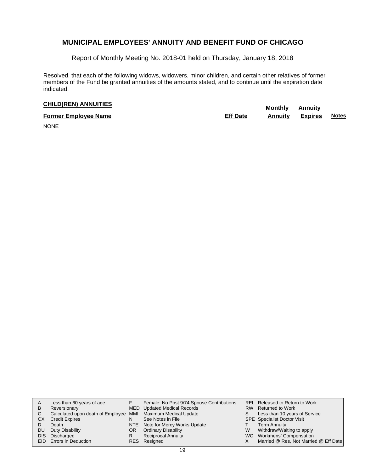Report of Monthly Meeting No. 2018-01 held on Thursday, January 18, 2018

Resolved, that each of the following widows, widowers, minor children, and certain other relatives of former members of the Fund be granted annuities of the amounts stated, and to continue until the expiration date indicated.

# **CHILD(REN) ANNUITIES Monthly** Annuity

| <b>Former Employee Name</b> | <b>Eff Date</b> | Annuitv | <b>Expires</b> | <b>Notes</b> |
|-----------------------------|-----------------|---------|----------------|--------------|
| .                           |                 |         |                |              |

NONE

| A  | Less than 60 years of age                                    |     | Female: No Post 9/74 Spouse Contributions |    | REL Released to Return to Work        |
|----|--------------------------------------------------------------|-----|-------------------------------------------|----|---------------------------------------|
| B  | Reversionary                                                 |     | MED Updated Medical Records               |    | RW Returned to Work                   |
| C  | Calculated upon death of Employee MMI Maximum Medical Update |     |                                           | S. | Less than 10 years of Service         |
| СX | <b>Credit Expires</b>                                        | N   | See Notes in File                         |    | <b>SPE</b> Specialist Doctor Visit    |
|    | Death                                                        |     | NTE Note for Mercy Works Update           |    | <b>Term Annuity</b>                   |
| DU | Duty Disability                                              | OR. | <b>Ordinary Disability</b>                | W  | Withdraw/Waiting to apply             |
|    | DIS Discharged                                               |     | <b>Reciprocal Annuity</b>                 |    | WC Workmens' Compensation             |
|    | EID Errors in Deduction                                      |     | RES Resigned                              |    | Married @ Res, Not Married @ Eff Date |
|    |                                                              |     |                                           |    |                                       |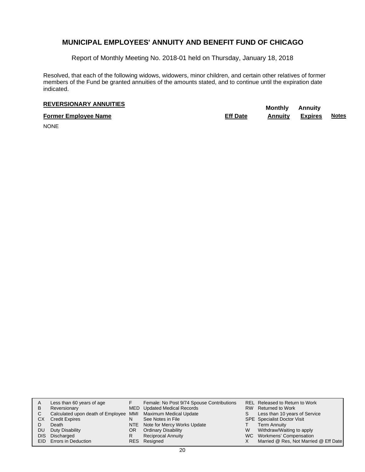Report of Monthly Meeting No. 2018-01 held on Thursday, January 18, 2018

Resolved, that each of the following widows, widowers, minor children, and certain other relatives of former members of the Fund be granted annuities of the amounts stated, and to continue until the expiration date indicated.

# **REVERSIONARY ANNUITIES** Monthly Annuity

**Former Employee Name Eff Date Annuity Expires Notes**

NONE

| Α  | Less than 60 years of age                                    |    | Female: No Post 9/74 Spouse Contributions |    | REL Released to Return to Work        |
|----|--------------------------------------------------------------|----|-------------------------------------------|----|---------------------------------------|
| B  | Reversionary                                                 |    | MED Updated Medical Records               |    | RW Returned to Work                   |
| C  | Calculated upon death of Employee MMI Maximum Medical Update |    |                                           | S. | Less than 10 years of Service         |
| СX | <b>Credit Expires</b>                                        |    | See Notes in File                         |    | <b>SPE</b> Specialist Doctor Visit    |
|    | Death                                                        |    | NTE Note for Mercy Works Update           |    | <b>Term Annuity</b>                   |
| DU | Duty Disability                                              | OR | <b>Ordinary Disability</b>                | W  | Withdraw/Waiting to apply             |
|    | DIS Discharged                                               | R  | <b>Reciprocal Annuity</b>                 |    | WC Workmens' Compensation             |
|    | EID Errors in Deduction                                      |    | RES Resigned                              |    | Married @ Res, Not Married @ Eff Date |
|    |                                                              |    |                                           |    |                                       |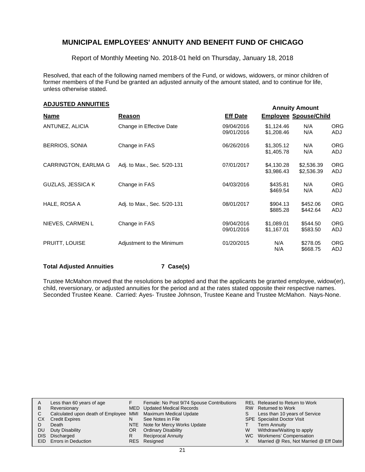Report of Monthly Meeting No. 2018-01 held on Thursday, January 18, 2018

Resolved, that each of the following named members of the Fund, or widows, widowers, or minor children of former members of the Fund be granted an adjusted annuity of the amount stated, and to continue for life, unless otherwise stated.

## **Annuity Amount ADJUSTED ANNUITIES**

|                          |                             | <u>Indianal Indones</u>  |                          |                              |                   |
|--------------------------|-----------------------------|--------------------------|--------------------------|------------------------------|-------------------|
| <b>Name</b>              | Reason                      | <b>Eff Date</b>          |                          | <b>Employee Spouse/Child</b> |                   |
| ANTUNEZ, ALICIA          | Change in Effective Date    | 09/04/2016<br>09/01/2016 | \$1,124.46<br>\$1,208.46 | N/A<br>N/A                   | <b>ORG</b><br>ADJ |
| <b>BERRIOS, SONIA</b>    | Change in FAS               | 06/26/2016               | \$1,305.12<br>\$1,405.78 | N/A<br>N/A                   | <b>ORG</b><br>ADJ |
| CARRINGTON, EARLMA G     | Adj. to Max., Sec. 5/20-131 | 07/01/2017               | \$4,130.28<br>\$3,986.43 | \$2,536.39<br>\$2,536.39     | <b>ORG</b><br>ADJ |
| <b>GUZLAS, JESSICA K</b> | Change in FAS               | 04/03/2016               | \$435.81<br>\$469.54     | N/A<br>N/A                   | <b>ORG</b><br>ADJ |
| HALE, ROSA A             | Adj. to Max., Sec. 5/20-131 | 08/01/2017               | \$904.13<br>\$885.28     | \$452.06<br>\$442.64         | <b>ORG</b><br>ADJ |
| NIEVES, CARMEN L         | Change in FAS               | 09/04/2016<br>09/01/2016 | \$1,089.01<br>\$1,167.01 | \$544.50<br>\$583.50         | <b>ORG</b><br>ADJ |
| PRUITT, LOUISE           | Adjustment to the Minimum   | 01/20/2015               | N/A<br>N/A               | \$278.05<br>\$668.75         | <b>ORG</b><br>ADJ |

#### **Total Adjusted Annuities 7 Case(s)**

Trustee McMahon moved that the resolutions be adopted and that the applicants be granted employee, widow(er), child, reversionary, or adjusted annuities for the period and at the rates stated opposite their respective names. Seconded Trustee Keane. Carried: Ayes- Trustee Johnson, Trustee Keane and Trustee McMahon. Nays-None.

|    | Less than 60 years of age                                    |     | Female: No Post 9/74 Spouse Contributions |   | REL Released to Return to Work        |
|----|--------------------------------------------------------------|-----|-------------------------------------------|---|---------------------------------------|
| в  | Reversionary                                                 |     | <b>MED</b> Updated Medical Records        |   | RW Returned to Work                   |
|    | Calculated upon death of Employee MMI Maximum Medical Update |     |                                           |   | Less than 10 years of Service         |
| CХ | <b>Credit Expires</b>                                        | N   | See Notes in File                         |   | <b>SPE</b> Specialist Doctor Visit    |
|    | Death                                                        |     | NTE Note for Mercy Works Update           |   | <b>Term Annuity</b>                   |
| DU | Duty Disability                                              | OR. | <b>Ordinary Disability</b>                | W | Withdraw/Waiting to apply             |
|    | DIS Discharged                                               |     | <b>Reciprocal Annuity</b>                 |   | WC Workmens' Compensation             |
|    | <b>EID</b> Errors in Deduction                               |     | RES Resigned                              |   | Married @ Res, Not Married @ Eff Date |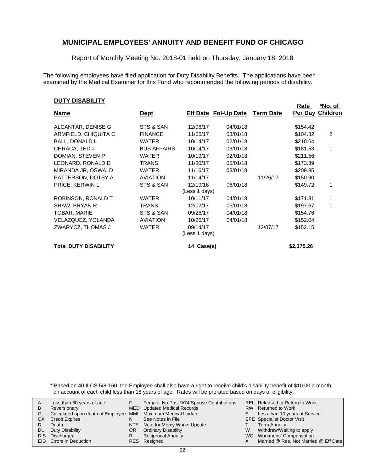Report of Monthly Meeting No. 2018-01 held on Thursday, January 18, 2018

The following employees have filed application for Duty Disability Benefits. The applications have been examined by the Medical Examiner for this Fund who recommended the following periods of disability.

#### **DUTY DISABILITY**

|                              |                    |                             |          |                  | Rate<br>Per Day | ™O. OT<br><b>Children</b> |
|------------------------------|--------------------|-----------------------------|----------|------------------|-----------------|---------------------------|
| <b>Name</b>                  | <u>Dept</u>        | <b>Eff Date Fol-Up Date</b> |          | <b>Term Date</b> |                 |                           |
| ALCANTAR, DENISE G           | STS & SAN          | 12/06/17                    | 04/01/18 |                  | \$154.42        |                           |
| ARMFIELD, CHIQUITA C         | <b>FINANCE</b>     | 11/06/17                    | 03/01/18 |                  | \$104.82        | 2                         |
| BALL, DONALD L               | WATER              | 10/14/17                    | 02/01/18 |                  | \$210.64        |                           |
| CHRACA, TED J                | <b>BUS AFFAIRS</b> | 10/14/17                    | 03/01/18 |                  | \$181.53        | 1                         |
| DOMIAN, STEVEN P             | <b>WATER</b>       | 10/19/17                    | 02/01/18 |                  | \$211.56        |                           |
| LEONARD, RONALD D            | <b>TRANS</b>       | 11/30/17                    | 05/01/18 |                  | \$173.39        |                           |
| MIRANDA JR, OSWALD           | WATER              | 11/16/17                    | 03/01/18 |                  | \$209.85        |                           |
| PATTERSON, DOTSY A           | <b>AVIATION</b>    | 11/14/17                    |          | 11/26/17         | \$150.90        |                           |
| <b>PRICE, KERWIN L</b>       | STS & SAN          | 12/19/16                    | 06/01/18 |                  | \$149.72        |                           |
|                              |                    | (Less 1 days)               |          |                  |                 |                           |
| ROBINSON, RONALD T           | <b>WATER</b>       | 10/11/17                    | 04/01/18 |                  | \$171.81        |                           |
| SHAW, BRYAN R                | <b>TRANS</b>       | 12/02/17                    | 05/01/18 |                  | \$197.67        | 1                         |
| TOBAR, MARIE                 | STS & SAN          | 09/26/17                    | 04/01/18 |                  | \$154.76        |                           |
| VELAZQUEZ, YOLANDA           | <b>AVIATION</b>    | 10/26/17                    | 04/01/18 |                  | \$152.04        |                           |
| ZWARYCZ, THOMAS J            | <b>WATER</b>       | 09/14/17                    |          | 12/07/17         | \$152.15        |                           |
|                              |                    | (Less 1 days)               |          |                  |                 |                           |
| <b>Total DUTY DISABILITY</b> |                    | 14 Case(s)                  |          |                  | \$2,375.26      |                           |

**Rate** 

**\*No. of** 

\* Based on 40 ILCS 5/8-160, the Employee shall also have a right to receive child's disability benefit of \$10.00 a month on account of each child less than 18 years of age. Rates will be prorated based on days of eligibility.

|            | Less than 60 years of age                                    |     | Female: No Post 9/74 Spouse Contributions |    | REL Released to Return to Work        |
|------------|--------------------------------------------------------------|-----|-------------------------------------------|----|---------------------------------------|
| B          | Reversionary                                                 |     | MED Updated Medical Records               |    | RW Returned to Work                   |
|            | Calculated upon death of Employee MMI Maximum Medical Update |     |                                           | S. | Less than 10 years of Service         |
| СX         | <b>Credit Expires</b>                                        | N   | See Notes in File                         |    | <b>SPE</b> Specialist Doctor Visit    |
|            | Death                                                        |     | NTE Note for Mercy Works Update           |    | <b>Term Annuity</b>                   |
| DU         | Duty Disability                                              | OR. | <b>Ordinary Disability</b>                | W  | Withdraw/Waiting to apply             |
| <b>DIS</b> | Discharged                                                   |     | <b>Reciprocal Annuity</b>                 |    | WC Workmens' Compensation             |
|            | <b>EID</b> Errors in Deduction                               |     | RES Resigned                              |    | Married @ Res, Not Married @ Eff Date |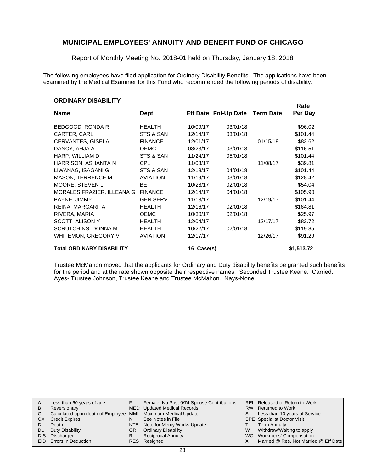Report of Monthly Meeting No. 2018-01 held on Thursday, January 18, 2018

The following employees have filed application for Ordinary Disability Benefits. The applications have been examined by the Medical Examiner for this Fund who recommended the following periods of disability.

**Rate** 

#### **ORDINARY DISABILITY**

|                                  |                 |            |                             |                  | nalt       |
|----------------------------------|-----------------|------------|-----------------------------|------------------|------------|
| <u>Name</u>                      | <u>Dept</u>     |            | <b>Eff Date Fol-Up Date</b> | <b>Term Date</b> | Per Day    |
| BEDGOOD, RONDA R                 | <b>HEALTH</b>   | 10/09/17   | 03/01/18                    |                  | \$96.02    |
| CARTER, CARL                     | STS & SAN       | 12/14/17   | 03/01/18                    |                  | \$101.44   |
| CERVANTES, GISELA                | <b>FINANCE</b>  | 12/01/17   |                             | 01/15/18         | \$82.62    |
| DANCY, AHJA A                    | <b>OEMC</b>     | 08/23/17   | 03/01/18                    |                  | \$116.51   |
| HARP, WILLIAM D                  | STS & SAN       | 11/24/17   | 05/01/18                    |                  | \$101.44   |
| HARRISON, ASHANTA N              | CPL             | 11/03/17   |                             | 11/08/17         | \$39.81    |
| LIWANAG, ISAGANI G               | STS & SAN       | 12/18/17   | 04/01/18                    |                  | \$101.44   |
| <b>MASON, TERRENCE M</b>         | <b>AVIATION</b> | 11/19/17   | 03/01/18                    |                  | \$128.42   |
| MOORE, STEVEN L                  | BE.             | 10/28/17   | 02/01/18                    |                  | \$54.04    |
| MORALES FRAZIER, ILLEANA G       | <b>FINANCE</b>  | 12/14/17   | 04/01/18                    |                  | \$105.90   |
| PAYNE, JIMMY L                   | <b>GEN SERV</b> | 11/13/17   |                             | 12/19/17         | \$101.44   |
| REINA, MARGARITA                 | <b>HEALTH</b>   | 12/16/17   | 02/01/18                    |                  | \$164.81   |
| RIVERA, MARIA                    | <b>OEMC</b>     | 10/30/17   | 02/01/18                    |                  | \$25.97    |
| SCOTT, ALISON Y                  | <b>HEALTH</b>   | 12/04/17   |                             | 12/17/17         | \$82.72    |
| <b>SCRUTCHINS, DONNA M</b>       | <b>HEALTH</b>   | 10/22/17   | 02/01/18                    |                  | \$119.85   |
| WHITEMON, GREGORY V              | <b>AVIATION</b> | 12/17/17   |                             | 12/26/17         | \$91.29    |
| <b>Total ORDINARY DISABILITY</b> |                 | 16 Case(s) |                             |                  | \$1,513.72 |

Trustee McMahon moved that the applicants for Ordinary and Duty disability benefits be granted such benefits for the period and at the rate shown opposite their respective names. Seconded Trustee Keane. Carried: Ayes- Trustee Johnson, Trustee Keane and Trustee McMahon. Nays-None.

|    | Less than 60 years of age                                    |     | Female: No Post 9/74 Spouse Contributions |    | REL Released to Return to Work        |
|----|--------------------------------------------------------------|-----|-------------------------------------------|----|---------------------------------------|
| B  | Reversionary                                                 |     | MED Updated Medical Records               |    | RW Returned to Work                   |
|    | Calculated upon death of Employee MMI Maximum Medical Update |     |                                           | S. | Less than 10 years of Service         |
| CХ | <b>Credit Expires</b>                                        | N   | See Notes in File                         |    | <b>SPE</b> Specialist Doctor Visit    |
|    | Death                                                        |     | NTE Note for Mercy Works Update           |    | <b>Term Annuity</b>                   |
| DU | Duty Disability                                              | OR. | <b>Ordinary Disability</b>                | W  | Withdraw/Waiting to apply             |
|    | DIS Discharged                                               |     | <b>Reciprocal Annuity</b>                 |    | WC Workmens' Compensation             |
|    | <b>EID</b> Errors in Deduction                               |     | RES Resigned                              |    | Married @ Res, Not Married @ Eff Date |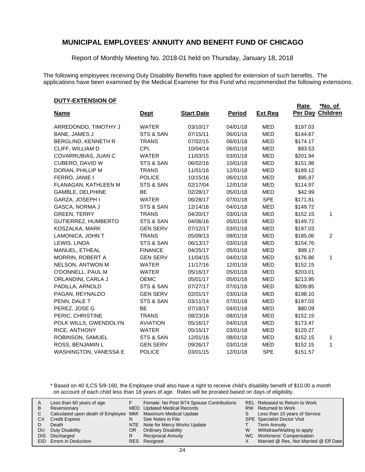Report of Monthly Meeting No. 2018-01 held on Thursday, January 18, 2018

The following employees receiving Duty Disability Benefits have applied for extension of such benefits. The applications have been examined by the Medical Examiner for this Fund who recommended the following extensions.

**Rate** 

#### **DUTY-EXTENSION OF**

|                              |                 |                   |               |                | <b>Rate</b> | *No. of          |
|------------------------------|-----------------|-------------------|---------------|----------------|-------------|------------------|
| <b>Name</b>                  | <u>Dept</u>     | <b>Start Date</b> | <b>Period</b> | <b>Ext Req</b> |             | Per Day Children |
| ARREDONDO, TIMOTHY J         | <b>WATER</b>    | 03/10/17          | 04/01/18      | <b>MED</b>     | \$197.03    |                  |
| BANE, JAMES J                | STS & SAN       | 07/15/11          | 06/01/18      | <b>MED</b>     | \$144.67    |                  |
| BERGLIND, KENNETH R          | <b>TRANS</b>    | 07/02/15          | 06/01/18      | <b>MED</b>     | \$174.17    |                  |
| CLIFF, WILLIAM D             | <b>CPL</b>      | 10/04/14          | 06/01/18      | <b>MED</b>     | \$93.53     |                  |
| COVARRUBIAS, JUAN C          | <b>WATER</b>    | 11/03/15          | 03/01/18      | MED            | \$201.94    |                  |
| CUBERO, DAVID W              | STS & SAN       | 06/02/16          | 10/01/18      | <b>MED</b>     | \$151.98    |                  |
| DORAN, PHILLIP M             | <b>TRANS</b>    | 11/01/16          | 12/01/18      | <b>MED</b>     | \$189.12    |                  |
| FERRO, JANIE I               | <b>POLICE</b>   | 10/15/16          | 06/01/18      | <b>MED</b>     | \$95.87     |                  |
| FLANAGAN, KATHLEEN M         | STS & SAN       | 02/17/04          | 12/01/18      | <b>MED</b>     | \$114.97    |                  |
| GAMBLE, DELPHINE             | <b>BE</b>       | 02/28/17          | 05/01/18      | <b>MED</b>     | \$42.99     |                  |
| GARZA, JOSEPH I              | <b>WATER</b>    | 06/28/17          | 07/01/18      | <b>SPE</b>     | \$171.81    |                  |
| GASCA, NORMA J               | STS & SAN       | 12/14/16          | 04/01/18      | MED            | \$149.72    |                  |
| <b>GREEN, TERRY</b>          | <b>TRANS</b>    | 04/20/17          | 03/01/18      | <b>MED</b>     | \$152.15    | 1                |
| GUTIERREZ, HUMBERTO          | STS & SAN       | 04/06/16          | 05/01/18      | <b>MED</b>     | \$149.72    |                  |
| KOSZALKA, MARK               | <b>GEN SERV</b> | 07/12/17          | 03/01/18      | MED            | \$197.03    |                  |
| LAMONICA, JOHN T             | <b>TRANS</b>    | 05/09/13          | 09/01/18      | <b>MED</b>     | \$185.06    | $\overline{c}$   |
| LEWIS, LINDA                 | STS & SAN       | 06/13/17          | 03/01/18      | MED            | \$154.76    |                  |
| MANUEL, ETHEAL               | <b>FINANCE</b>  | 04/25/17          | 05/01/18      | MED            | \$99.17     |                  |
| MORRIN, ROBERT A             | <b>GEN SERV</b> | 11/04/15          | 04/01/18      | <b>MED</b>     | \$176.86    | 1                |
| NELSON, ANTWON M             | <b>WATER</b>    | 11/17/16          | 12/01/18      | MED            | \$152.15    |                  |
| O'DONNELL, PAUL M            | <b>WATER</b>    | 05/16/17          | 05/01/18      | <b>MED</b>     | \$203.01    |                  |
| ORLANDINI, CARLA J           | <b>OEMC</b>     | 05/01/17          | 05/01/18      | <b>MED</b>     | \$213.95    |                  |
| PADILLA, ARNOLD              | STS & SAN       | 07/27/17          | 07/01/18      | <b>MED</b>     | \$209.85    |                  |
| PAGAN, REYNALDO              | <b>GEN SERV</b> | 02/01/17          | 03/01/18      | MED            | \$198.10    |                  |
| PENN, DALE T                 | STS & SAN       | 03/11/14          | 07/01/18      | MED            | \$197.03    |                  |
| PEREZ, JOSE G                | BE              | 07/18/17          | 04/01/18      | MED            | \$80.09     |                  |
| PERIC, CHRISTINE             | <b>TRANS</b>    | 08/23/16          | 08/01/18      | <b>MED</b>     | \$152.15    |                  |
| POLK WILLS, GWENDOLYN        | <b>AVIATION</b> | 05/16/17          | 04/01/18      | MED            | \$173.47    |                  |
| RICE, ANTHONY                | <b>WATER</b>    | 05/15/17          | 03/01/18      | MED            | \$120.27    |                  |
| ROBINSON, SAMUEL             | STS & SAN       | 12/01/16          | 08/01/18      | MED            | \$152.15    | 1                |
| ROSS, BENJAMIN L             | <b>GEN SERV</b> | 09/26/17          | 03/01/18      | <b>MED</b>     | \$152.15    | 1                |
| <b>WASHINGTON, VANESSA E</b> | <b>POLICE</b>   | 03/01/15          | 12/01/18      | <b>SPE</b>     | \$151.57    |                  |

\* Based on 40 ILCS 5/8-160, the Employee shall also have a right to receive child's disability benefit of \$10.00 a month on account of each child less than 18 years of age. Rates will be prorated based on days of eligibility.

| B<br>СX<br>DU<br>DIS. | Less than 60 years of age<br>Reversionary<br>Calculated upon death of Employee MMI Maximum Medical Update<br><b>Credit Expires</b><br>Death<br>Duty Disability<br>Discharged<br><b>EID</b> Errors in Deduction | N<br>OR<br>R | Female: No Post 9/74 Spouse Contributions<br>MED Updated Medical Records<br>See Notes in File<br>NTE Note for Mercy Works Update<br><b>Ordinary Disability</b><br><b>Reciprocal Annuity</b><br>RES Resigned | S<br>W | REL Released to Return to Work<br>RW Returned to Work<br>Less than 10 years of Service<br><b>SPE</b> Specialist Doctor Visit<br><b>Term Annuity</b><br>Withdraw/Waiting to apply<br>WC Workmens' Compensation<br>Married @ Res, Not Married @ Eff Date |
|-----------------------|----------------------------------------------------------------------------------------------------------------------------------------------------------------------------------------------------------------|--------------|-------------------------------------------------------------------------------------------------------------------------------------------------------------------------------------------------------------|--------|--------------------------------------------------------------------------------------------------------------------------------------------------------------------------------------------------------------------------------------------------------|
|-----------------------|----------------------------------------------------------------------------------------------------------------------------------------------------------------------------------------------------------------|--------------|-------------------------------------------------------------------------------------------------------------------------------------------------------------------------------------------------------------|--------|--------------------------------------------------------------------------------------------------------------------------------------------------------------------------------------------------------------------------------------------------------|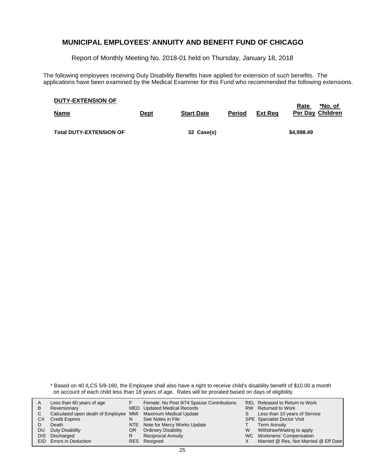Report of Monthly Meeting No. 2018-01 held on Thursday, January 18, 2018

The following employees receiving Duty Disability Benefits have applied for extension of such benefits. The applications have been examined by the Medical Examiner for this Fund who recommended the following extensions.

| <b>DUTY-EXTENSION OF</b><br><b>Name</b> | <u>Dept</u> | <b>Start Date</b> | <b>Period</b> | Ext Rea | *No. of<br>Rate<br><b>Per Day Children</b> |
|-----------------------------------------|-------------|-------------------|---------------|---------|--------------------------------------------|
| <b>Total DUTY-EXTENSION OF</b>          |             | 32 Case(s)        |               |         | \$4,998.49                                 |

\* Based on 40 ILCS 5/8-160, the Employee shall also have a right to receive child's disability benefit of \$10.00 a month on account of each child less than 18 years of age. Rates will be prorated based on days of eligibility.

|      | Less than 60 years of age                                    |    | Female: No Post 9/74 Spouse Contributions |    | REL Released to Return to Work        |
|------|--------------------------------------------------------------|----|-------------------------------------------|----|---------------------------------------|
| B    | Reversionary                                                 |    | MED Updated Medical Records               |    | RW Returned to Work                   |
|      | Calculated upon death of Employee MMI Maximum Medical Update |    |                                           | S. | Less than 10 years of Service         |
| СX   | <b>Credit Expires</b>                                        | N  | See Notes in File                         |    | <b>SPE</b> Specialist Doctor Visit    |
|      | Death                                                        |    | NTE Note for Mercy Works Update           |    | <b>Term Annuity</b>                   |
| DU   | Duty Disability                                              | OR | <b>Ordinary Disability</b>                | W  | Withdraw/Waiting to apply             |
| DIS. | Discharged                                                   | R  | <b>Reciprocal Annuity</b>                 |    | WC Workmens' Compensation             |
|      | <b>EID</b> Errors in Deduction                               |    | RES Resigned                              |    | Married @ Res, Not Married @ Eff Date |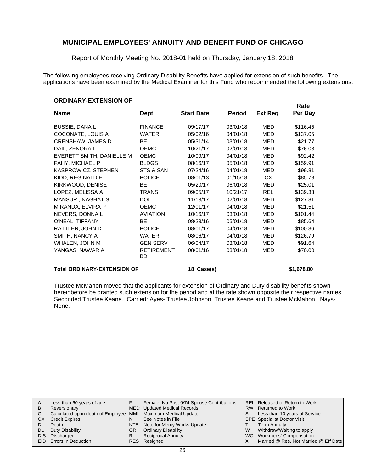Report of Monthly Meeting No. 2018-01 held on Thursday, January 18, 2018

The following employees receiving Ordinary Disability Benefits have applied for extension of such benefits. The applications have been examined by the Medical Examiner for this Fund who recommended the following extensions.

#### **ORDINARY-EXTENSION OF**

|                                    |                                |                   |               |                | <u>Rate</u> |
|------------------------------------|--------------------------------|-------------------|---------------|----------------|-------------|
| <b>Name</b>                        | <u>Dept</u>                    | <b>Start Date</b> | <u>Period</u> | <b>Ext Reg</b> | Per Day     |
| <b>BUSSIE, DANA L</b>              | <b>FINANCE</b>                 | 09/17/17          | 03/01/18      | MED            | \$116.45    |
| COCONATE, LOUIS A                  | <b>WATER</b>                   | 05/02/16          | 04/01/18      | <b>MED</b>     | \$137.05    |
| CRENSHAW, JAMES D                  | BE.                            | 05/31/14          | 03/01/18      | MED            | \$21.77     |
| DAIL, ZENORA L                     | <b>OEMC</b>                    | 10/21/17          | 02/01/18      | MED            | \$76.08     |
| EVERETT SMITH, DANIELLE M          | <b>OEMC</b>                    | 10/09/17          | 04/01/18      | MED            | \$92.42     |
| FAHY, MICHAEL P                    | <b>BLDGS</b>                   | 08/16/17          | 05/01/18      | MED            | \$159.91    |
| KASPROWICZ, STEPHEN                | STS & SAN                      | 07/24/16          | 04/01/18      | MED            | \$99.81     |
| KIDD, REGINALD E                   | <b>POLICE</b>                  | 08/01/13          | 01/15/18      | <b>CX</b>      | \$85.78     |
| KIRKWOOD, DENISE                   | <b>BE</b>                      | 05/20/17          | 06/01/18      | MED            | \$25.01     |
| LOPEZ, MELISSA A                   | <b>TRANS</b>                   | 09/05/17          | 10/21/17      | <b>REL</b>     | \$139.33    |
| <b>MANSURI, NAGHAT S</b>           | <b>DOIT</b>                    | 11/13/17          | 02/01/18      | MED            | \$127.81    |
| MIRANDA, ELVIRA P                  | <b>OEMC</b>                    | 12/01/17          | 04/01/18      | <b>MED</b>     | \$21.51     |
| NEVERS, DONNA L                    | <b>AVIATION</b>                | 10/16/17          | 03/01/18      | MED            | \$101.44    |
| O'NEAL, TIFFANY                    | BE.                            | 08/23/16          | 05/01/18      | MED            | \$85.64     |
| RATTLER, JOHN D                    | <b>POLICE</b>                  | 08/01/17          | 04/01/18      | MED            | \$100.36    |
| SMITH, NANCY A                     | <b>WATER</b>                   | 08/06/17          | 04/01/18      | MED            | \$126.79    |
| WHALEN, JOHN M                     | <b>GEN SERV</b>                | 06/04/17          | 03/01/18      | <b>MED</b>     | \$91.64     |
| YANGAS, NAWAR A                    | <b>RETIREMENT</b><br><b>BD</b> | 08/01/16          | 03/01/18      | MED            | \$70.00     |
| <b>Total ORDINARY-EXTENSION OF</b> |                                | 18 Case(s)        |               |                | \$1,678.80  |

Trustee McMahon moved that the applicants for extension of Ordinary and Duty disability benefits shown hereinbefore be granted such extension for the period and at the rate shown opposite their respective names. Seconded Trustee Keane. Carried: Ayes- Trustee Johnson, Trustee Keane and Trustee McMahon. Nays-None.

| A   | Less than 60 years of age                                    |     | Female: No Post 9/74 Spouse Contributions |   | REL Released to Return to Work        |
|-----|--------------------------------------------------------------|-----|-------------------------------------------|---|---------------------------------------|
| B   | Reversionary                                                 |     | MED Updated Medical Records               |   | RW Returned to Work                   |
|     | Calculated upon death of Employee MMI Maximum Medical Update |     |                                           |   | Less than 10 years of Service         |
| CХ  | <b>Credit Expires</b>                                        |     | See Notes in File                         |   | <b>SPE</b> Specialist Doctor Visit    |
|     | Death                                                        |     | NTE Note for Mercy Works Update           |   | <b>Term Annuity</b>                   |
| DU. | Duty Disability                                              | OR. | <b>Ordinary Disability</b>                | W | Withdraw/Waiting to apply             |
|     | DIS Discharged                                               |     | <b>Reciprocal Annuity</b>                 |   | WC Workmens' Compensation             |
|     | EID Errors in Deduction                                      |     | RES Resigned                              |   | Married @ Res, Not Married @ Eff Date |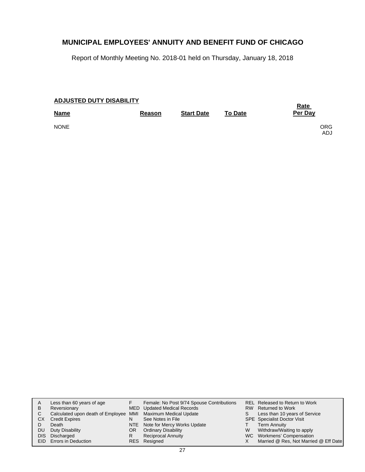Report of Monthly Meeting No. 2018-01 held on Thursday, January 18, 2018

| <b>ADJUSTED DUTY DISABILITY</b> | <b>Rate</b>   |                   |                |            |
|---------------------------------|---------------|-------------------|----------------|------------|
| <b>Name</b>                     | <b>Reason</b> | <b>Start Date</b> | <b>To Date</b> | Per Day    |
| <b>NONE</b>                     |               |                   |                | ORG<br>ADJ |

|      | Less than 60 years of age                                    |    | Female: No Post 9/74 Spouse Contributions |    | REL Released to Return to Work        |
|------|--------------------------------------------------------------|----|-------------------------------------------|----|---------------------------------------|
| В    | Reversionary                                                 |    | MED Updated Medical Records               |    | RW Returned to Work                   |
|      | Calculated upon death of Employee MMI Maximum Medical Update |    |                                           | S. | Less than 10 years of Service         |
| СX   | <b>Credit Expires</b>                                        | N  | See Notes in File                         |    | <b>SPE</b> Specialist Doctor Visit    |
|      | Death                                                        |    | NTE Note for Mercy Works Update           |    | <b>Term Annuity</b>                   |
| DU   | Duty Disability                                              | OR | <b>Ordinary Disability</b>                | W  | Withdraw/Waiting to apply             |
| DIS. | Discharged                                                   | R  | <b>Reciprocal Annuity</b>                 |    | WC Workmens' Compensation             |
|      | <b>EID</b> Errors in Deduction                               |    | RES Resigned                              |    | Married @ Res, Not Married @ Eff Date |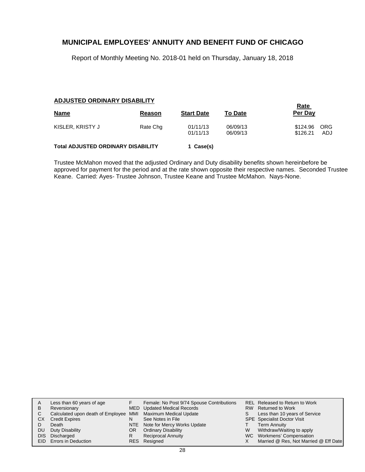Report of Monthly Meeting No. 2018-01 held on Thursday, January 18, 2018

#### **ADJUSTED ORDINARY DISABILITY**

| <b>Name</b>                               | Reason   | <b>Start Date</b>    | <b>To Date</b>       | <u>Rate</u><br>Per Day |                   |
|-------------------------------------------|----------|----------------------|----------------------|------------------------|-------------------|
| KISLER, KRISTY J                          | Rate Chg | 01/11/13<br>01/11/13 | 06/09/13<br>06/09/13 | \$124.96<br>\$126.21   | <b>ORG</b><br>ADJ |
| <b>Total ADJUSTED ORDINARY DISABILITY</b> |          | 1 Case(s)            |                      |                        |                   |

Trustee McMahon moved that the adjusted Ordinary and Duty disability benefits shown hereinbefore be approved for payment for the period and at the rate shown opposite their respective names. Seconded Trustee Keane. Carried: Ayes- Trustee Johnson, Trustee Keane and Trustee McMahon. Nays-None.

| A    | Less than 60 years of age                                    |    | Female: No Post 9/74 Spouse Contributions |   | REL Released to Return to Work        |
|------|--------------------------------------------------------------|----|-------------------------------------------|---|---------------------------------------|
|      |                                                              |    |                                           |   |                                       |
| В    | Reversionary                                                 |    | MED Updated Medical Records               |   | RW Returned to Work                   |
|      | Calculated upon death of Employee MMI Maximum Medical Update |    |                                           | S | Less than 10 years of Service         |
| СX   | <b>Credit Expires</b>                                        | N  | See Notes in File                         |   | <b>SPE</b> Specialist Doctor Visit    |
|      | Death                                                        |    | NTE Note for Mercy Works Update           |   | <b>Term Annuity</b>                   |
| DU   | Duty Disability                                              | OR | <b>Ordinary Disability</b>                | W | Withdraw/Waiting to apply             |
| DIS. | Discharged                                                   | R  | <b>Reciprocal Annuity</b>                 |   | WC Workmens' Compensation             |
|      | <b>EID</b> Errors in Deduction                               |    | RES Resigned                              |   | Married @ Res, Not Married @ Eff Date |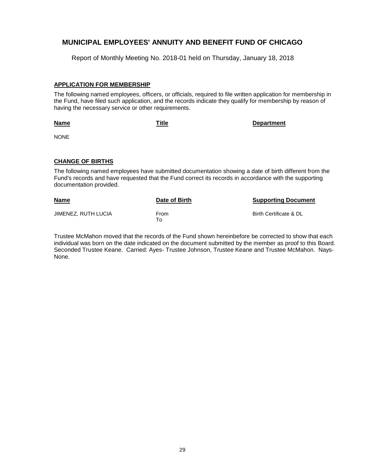Report of Monthly Meeting No. 2018-01 held on Thursday, January 18, 2018

#### **APPLICATION FOR MEMBERSHIP**

The following named employees, officers, or officials, required to file written application for membership in the Fund, have filed such application, and the records indicate they qualify for membership by reason of having the necessary service or other requirements.

| <u>Title</u> | <b>Department</b> |
|--------------|-------------------|
|              |                   |
|              |                   |

#### **CHANGE OF BIRTHS**

**Name**

NONE

The following named employees have submitted documentation showing a date of birth different from the Fund's records and have requested that the Fund correct its records in accordance with the supporting documentation provided.

| Name                | Date of Birth | <b>Supporting Document</b> |
|---------------------|---------------|----------------------------|
| JIMENEZ. RUTH LUCIA | From<br>To To | Birth Certificate & DL     |

Trustee McMahon moved that the records of the Fund shown hereinbefore be corrected to show that each individual was born on the date indicated on the document submitted by the member as proof to this Board. Seconded Trustee Keane. Carried: Ayes- Trustee Johnson, Trustee Keane and Trustee McMahon. Nays-None.

 $\mathbf{r}$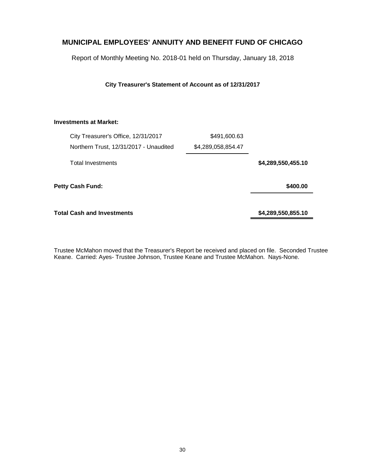Report of Monthly Meeting No. 2018-01 held on Thursday, January 18, 2018

**City Treasurer's Statement of Account as of 12/31/2017**

#### **Investments at Market:**

| City Treasurer's Office, 12/31/2017    | \$491,600.63       |                    |
|----------------------------------------|--------------------|--------------------|
| Northern Trust, 12/31/2017 - Unaudited | \$4,289,058,854.47 |                    |
| Total Investments                      |                    | \$4,289,550,455.10 |
| Petty Cash Fund:                       |                    | \$400.00           |
| <b>Total Cash and Investments</b>      |                    | \$4,289,550,855.10 |

Trustee McMahon moved that the Treasurer's Report be received and placed on file. Seconded Trustee Keane. Carried: Ayes- Trustee Johnson, Trustee Keane and Trustee McMahon. Nays-None.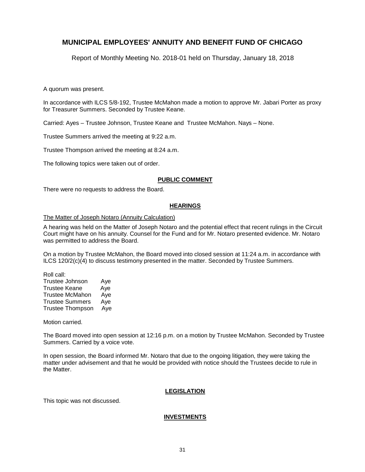Report of Monthly Meeting No. 2018-01 held on Thursday, January 18, 2018

A quorum was present.

In accordance with ILCS 5/8-192, Trustee McMahon made a motion to approve Mr. Jabari Porter as proxy for Treasurer Summers. Seconded by Trustee Keane.

Carried: Ayes – Trustee Johnson, Trustee Keane and Trustee McMahon. Nays – None.

Trustee Summers arrived the meeting at 9:22 a.m.

Trustee Thompson arrived the meeting at 8:24 a.m.

The following topics were taken out of order.

#### **PUBLIC COMMENT**

There were no requests to address the Board.

#### **HEARINGS**

#### The Matter of Joseph Notaro (Annuity Calculation)

A hearing was held on the Matter of Joseph Notaro and the potential effect that recent rulings in the Circuit Court might have on his annuity. Counsel for the Fund and for Mr. Notaro presented evidence. Mr. Notaro was permitted to address the Board.

On a motion by Trustee McMahon, the Board moved into closed session at 11:24 a.m. in accordance with ILCS 120/2(c)(4) to discuss testimony presented in the matter. Seconded by Trustee Summers.

Roll call: Trustee Johnson Aye Trustee Keane Aye Trustee McMahon Aye Trustee Summers Aye Trustee Thompson Aye

Motion carried.

The Board moved into open session at 12:16 p.m. on a motion by Trustee McMahon. Seconded by Trustee Summers. Carried by a voice vote.

In open session, the Board informed Mr. Notaro that due to the ongoing litigation, they were taking the matter under advisement and that he would be provided with notice should the Trustees decide to rule in the Matter.

#### **LEGISLATION**

This topic was not discussed.

#### **INVESTMENTS**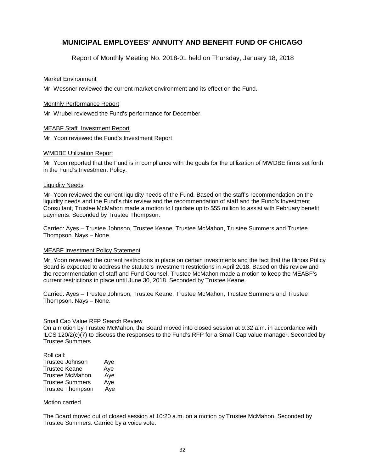Report of Monthly Meeting No. 2018-01 held on Thursday, January 18, 2018

#### Market Environment

Mr. Wessner reviewed the current market environment and its effect on the Fund.

#### Monthly Performance Report

Mr. Wrubel reviewed the Fund's performance for December.

#### MEABF Staff Investment Report

Mr. Yoon reviewed the Fund's Investment Report

#### WMDBE Utilization Report

Mr. Yoon reported that the Fund is in compliance with the goals for the utilization of MWDBE firms set forth in the Fund's Investment Policy.

#### Liquidity Needs

Mr. Yoon reviewed the current liquidity needs of the Fund. Based on the staff's recommendation on the liquidity needs and the Fund's this review and the recommendation of staff and the Fund's Investment Consultant, Trustee McMahon made a motion to liquidate up to \$55 million to assist with February benefit payments. Seconded by Trustee Thompson.

Carried: Ayes – Trustee Johnson, Trustee Keane, Trustee McMahon, Trustee Summers and Trustee Thompson. Nays – None.

#### MEABF Investment Policy Statement

Mr. Yoon reviewed the current restrictions in place on certain investments and the fact that the Illinois Policy Board is expected to address the statute's investment restrictions in April 2018. Based on this review and the recommendation of staff and Fund Counsel, Trustee McMahon made a motion to keep the MEABF's current restrictions in place until June 30, 2018. Seconded by Trustee Keane.

Carried: Ayes – Trustee Johnson, Trustee Keane, Trustee McMahon, Trustee Summers and Trustee Thompson. Nays – None.

#### Small Cap Value RFP Search Review

On a motion by Trustee McMahon, the Board moved into closed session at 9:32 a.m. in accordance with ILCS 120/2(c)(7) to discuss the responses to the Fund's RFP for a Small Cap value manager. Seconded by Trustee Summers.

| Roll call:              |     |
|-------------------------|-----|
| Trustee Johnson         | Aye |
| <b>Trustee Keane</b>    | Aye |
| <b>Trustee McMahon</b>  | Aye |
| <b>Trustee Summers</b>  | Aye |
| <b>Trustee Thompson</b> | Aye |

Motion carried.

The Board moved out of closed session at 10:20 a.m. on a motion by Trustee McMahon. Seconded by Trustee Summers. Carried by a voice vote.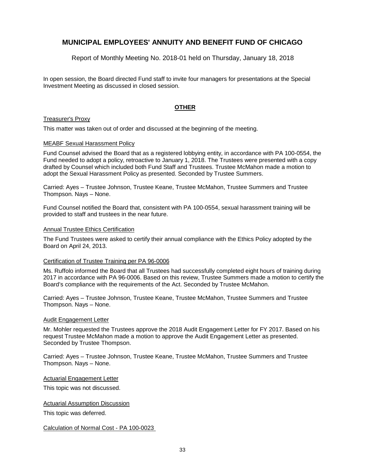Report of Monthly Meeting No. 2018-01 held on Thursday, January 18, 2018

In open session, the Board directed Fund staff to invite four managers for presentations at the Special Investment Meeting as discussed in closed session.

#### **OTHER**

#### Treasurer's Proxy

This matter was taken out of order and discussed at the beginning of the meeting.

#### MEABF Sexual Harassment Policy

Fund Counsel advised the Board that as a registered lobbying entity, in accordance with PA 100-0554, the Fund needed to adopt a policy, retroactive to January 1, 2018. The Trustees were presented with a copy drafted by Counsel which included both Fund Staff and Trustees. Trustee McMahon made a motion to adopt the Sexual Harassment Policy as presented. Seconded by Trustee Summers.

Carried: Ayes – Trustee Johnson, Trustee Keane, Trustee McMahon, Trustee Summers and Trustee Thompson. Nays – None.

Fund Counsel notified the Board that, consistent with PA 100-0554, sexual harassment training will be provided to staff and trustees in the near future.

#### Annual Trustee Ethics Certification

The Fund Trustees were asked to certify their annual compliance with the Ethics Policy adopted by the Board on April 24, 2013.

#### Certification of Trustee Training per PA 96-0006

Ms. Ruffolo informed the Board that all Trustees had successfully completed eight hours of training during 2017 in accordance with PA 96-0006. Based on this review, Trustee Summers made a motion to certify the Board's compliance with the requirements of the Act. Seconded by Trustee McMahon.

Carried: Ayes – Trustee Johnson, Trustee Keane, Trustee McMahon, Trustee Summers and Trustee Thompson. Nays – None.

#### Audit Engagement Letter

Mr. Mohler requested the Trustees approve the 2018 Audit Engagement Letter for FY 2017. Based on his request Trustee McMahon made a motion to approve the Audit Engagement Letter as presented. Seconded by Trustee Thompson.

Carried: Ayes – Trustee Johnson, Trustee Keane, Trustee McMahon, Trustee Summers and Trustee Thompson. Nays – None.

Actuarial Engagement Letter

This topic was not discussed.

Actuarial Assumption Discussion

This topic was deferred.

Calculation of Normal Cost - PA 100-0023